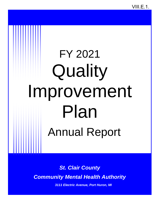VIII.E.1.

# FY 2021 **Quality** Improvement Plan Annual Report

*St. Clair County Community Mental Health Authority*

 *3111 Electric Avenue, Port Huron, MI*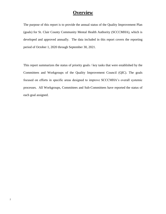# **Overview**

The purpose of this report is to provide the annual status of the Quality Improvement Plan (goals) for St. Clair County Community Mental Health Authority (SCCCMHA), which is developed and approved annually. The data included in this report covers the reporting period of October 1, 2020 through September 30, 2021.

This report summarizes the status of priority goals / key tasks that were established by the Committees and Workgroups of the Quality Improvement Council (QIC). The goals focused on efforts in specific areas designed to improve SCCCMHA's overall systemic processes. All Workgroups, Committees and Sub-Committees have reported the status of each goal assigned.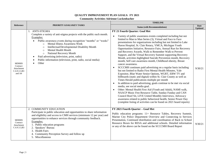# **QUALITY IMPROVEMENT PLAN GOALS: FY 2021**

#### **Community Activities-Adrienne Luckenbacher**

|                                                                  | PRIORITY GOALS/KEY TASKS                                                                                                                                                                                                                                                                                                                                                                                                                                                              | <b>TIMELINE</b>                                                                                                                                                                                                                                                                                                                                                                                                                                                                                                                                                                                                                                                                                                                                                                                                                                                                                                                                                                                                                                                                                                                                                                                                                                                                                                                                                                                                                          |                               |
|------------------------------------------------------------------|---------------------------------------------------------------------------------------------------------------------------------------------------------------------------------------------------------------------------------------------------------------------------------------------------------------------------------------------------------------------------------------------------------------------------------------------------------------------------------------|------------------------------------------------------------------------------------------------------------------------------------------------------------------------------------------------------------------------------------------------------------------------------------------------------------------------------------------------------------------------------------------------------------------------------------------------------------------------------------------------------------------------------------------------------------------------------------------------------------------------------------------------------------------------------------------------------------------------------------------------------------------------------------------------------------------------------------------------------------------------------------------------------------------------------------------------------------------------------------------------------------------------------------------------------------------------------------------------------------------------------------------------------------------------------------------------------------------------------------------------------------------------------------------------------------------------------------------------------------------------------------------------------------------------------------------|-------------------------------|
| <b>Reference</b>                                                 |                                                                                                                                                                                                                                                                                                                                                                                                                                                                                       | <b>Status (with Recommendations)</b>                                                                                                                                                                                                                                                                                                                                                                                                                                                                                                                                                                                                                                                                                                                                                                                                                                                                                                                                                                                                                                                                                                                                                                                                                                                                                                                                                                                                     | <b>Date</b><br><b>Updated</b> |
| <b>MDHHS</b><br>Contract<br>Attachment<br>C.6.9.3.3.B3<br>and A4 | 1. ANTI-STIGMA<br>Complete a variety of anti-stigma projects with the public each month.<br>Examples:<br>Public awareness events during recognition "months" or "weeks"<br><b>Mental Illness Awareness Week</b><br>$\Omega$<br>Intellectual/Developmental Disability Month<br>$\circ$<br>Mental Health Month<br>$\Omega$<br>National Recovery Month<br>$\circ$<br>Paid advertising (television, print, radio)<br>Public information (television, print, radio, social media)<br>Other | FY 21 Fourth Quarter: Goal Met<br>Variety of public awareness events completed including but not<br>$\bullet$<br>limited to Man to Man Series (3), Virtual and Face to Face<br>presentations for organizations including but not limited to Lake<br>Huron Hospital, St. Clair Rotary, YMCA, Michigan Youth<br>Opportunities Initiative, Resource Fairs, Annual Run for Recovery<br>and Recovery Awards, Walk to Remember Walk to Prevent<br>Support, and the Virtual Recovery Summit supporting Recovery<br>Month, activities highlighted Suicide Prevention month, Recovery<br>month, Self care awareness month, Childhood obesity, Breast<br>cancer awareness.<br>SCCCMH continues paid advertising on a regular basis including<br>$\bullet$<br>but not limited to Radio First Mental Health Minutes, Yale<br>Expositor, Blue Water Senior Options, WGRT, EBW TV and<br>billboards (static and digital) within St. Clair County as well as<br>Times Herald publications multiple per month<br>In addition to paid advertising, goals continue to be met via social<br>media, see social media goal.<br>Other: Mental Health First Aid (Youth and Adult), NAMI walk,<br>NAACP Music Fest Resource Table, Sunday Funday and CAN<br>Council Roof Sit, LIVE United Monthly Interviews, Advocacy<br>awareness related to public behavioral health, Senior Power Day<br>(complete listing of activities can be found on 2021 board reports) | 9/30/21                       |
| <b>MDHHS</b><br>Contract<br>Attachment<br>C.6.9.3.3,B3           | 2. COMMUNITY EDUCATION<br>Participate in public education and opportunities to share information<br>and eligibility and access to CMH services (minimum 12 per year) and<br>opportunities to enhance services through community feedback.<br>Examples:<br>1. Public education programs<br>2. Speakers' Bureau<br>3. Health Fairs<br>4. Community Perception Survey and follow up<br>5. Miscellaneous                                                                                  | FY 2021 Fourth Quarter - Goal Met<br>Public education programs: 11+ Resource Tables, Recovery Summit,<br>Marine City Police Department Overview and Connecting to Services<br>Presentation, Continued distribution and coordination of Back to School<br>Resource Boxes for RESA and additional schools. Detailed information<br>or any of the above can be found on the SCCCMH Board Report                                                                                                                                                                                                                                                                                                                                                                                                                                                                                                                                                                                                                                                                                                                                                                                                                                                                                                                                                                                                                                             | 9/30/21                       |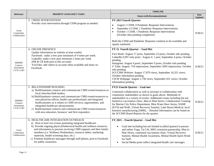|                                                        |                                                                                                                                                                                                                                                                                                                                                                                                                                                                                                                  | <b>TIMELINE</b>                                                                                                                                                                                                                                                                                                                                                                                                                                                                                                                                                                                 |                               |
|--------------------------------------------------------|------------------------------------------------------------------------------------------------------------------------------------------------------------------------------------------------------------------------------------------------------------------------------------------------------------------------------------------------------------------------------------------------------------------------------------------------------------------------------------------------------------------|-------------------------------------------------------------------------------------------------------------------------------------------------------------------------------------------------------------------------------------------------------------------------------------------------------------------------------------------------------------------------------------------------------------------------------------------------------------------------------------------------------------------------------------------------------------------------------------------------|-------------------------------|
| <b>Reference</b>                                       | PRIORITY GOALS/KEY TASKS                                                                                                                                                                                                                                                                                                                                                                                                                                                                                         | <b>Status (with Recommendations)</b>                                                                                                                                                                                                                                                                                                                                                                                                                                                                                                                                                            | <b>Date</b><br><b>Updated</b> |
| Good<br>Community<br>Collaboration                     | 3. CRISIS INTERVENTION<br>Provide crisis intervention through CISM program as needed.                                                                                                                                                                                                                                                                                                                                                                                                                            | FY 2021 Fourth Quarter<br>August 1 CISM, 0 Pandemic Response Interventions<br>$\bullet$<br>September 4 CISM, 1 Pandemic Response Interventions<br>October 1 CISM, 1 Pandemic Response Interventions<br>(October data pending completion)<br>Both the CISM and Pandemic Response continue to be available and<br>openly marketed.                                                                                                                                                                                                                                                                | 9/30/21                       |
| <b>MDHHS</b><br>Contract<br>Attachment<br>C.6.9.3.3.B3 | 4. ONLINE PRESENCE<br>Update information on website at least weekly.<br>Facebook: make a new post minimum of 4 times per week.<br>LinkedIn: make a new post minimum 2 times per week<br>(HR & CR both post to this account)<br>YouTube: add videos to account when available and share on<br>Facebook.                                                                                                                                                                                                           | FY 21 Fourth Quarter - Goal Met<br>Face Book: August 17 posts, September 23 posts, October info pending<br>LinkedIn (CRT only post): August 4: 1 post, September 4 posts, October<br>pending<br>Instagram: August 4 posts, September 9 posts, October info pending<br>U Tube: August: 754 impressions, September 2095 impressions, October<br>info pending<br>SCCCMH Website: August 17,879 views, September 16,351 views,<br>October information pending<br>CSCB Webpage: August 1,758 views, September 651 views, October<br>information pending                                              | 9/30/21                       |
| <b>MDHHS</b><br>Contract<br>Attachment<br>C.6.9.3.3.B3 | 5. RELATIONSHIP BUILDING<br>a) Build/maintain contacts and communicate CMH events/resources to<br>local churches/faith leaders.<br>b) Build/maintain contacts and communicate CMH events/resources to<br>area physician offices, health care professionals and integrated<br>health partners as it relates to CMH services, opportunities, and<br>integrated healthcare advancements.<br>c) Build/maintain contacts and communicate CMH events/resources<br>with area educators, buisness' and first responders. | <b>FY21 Fourth Quarter - Goal met</b><br>Continued collaboration as well as increase in collaboration with<br>community stakeholders as shown in goals above. Multitude of<br>stakeholders in a variety of events. Additional events including but not<br>limited to vaccination clinic, Man to Man Series, Collaboration Training<br>for Marine City Police Department, Blue Water Race Series, NAMI<br>(EVS) and Walk, Virtual Recovery Summit, Lake Huron Medical, local<br>business manufacturing (SMR), - Detailed information can be found on<br>the SCCMH Board Reports for the quarter. | 9/30/21                       |
| Good<br>Community<br>Collaboration                     | 6. HEALTHCARE INTEGRATION OUTREACH<br>a) Host at least two events promoting integrated healthcare.<br>b) Provide ongoing physical/behavioral health and wellness resources<br>and information to persons receiving CMH supports and their family<br>members (i.e. Wellness Wednesdays, resource tables, marketing<br>materials, health screening days, etc.)<br>c) Promote healthcare messages through staff photos, post to Facebook<br>for public awareness.                                                   | FY 2021 - Fourth Quarter - Goal Met<br>Goal met including but not limited to (third quarter) in person<br>and online Yoga, Tai Chi, MSU extension partnership, Man to<br>Man Series, continued vaccination clinic, Virtual Recovery<br>Summit, Mental Health Awareness, Mental Health Spirit Week<br>for Staff.<br>Social Media posts reflect integrated health care messages                                                                                                                                                                                                                   | 9/30/21                       |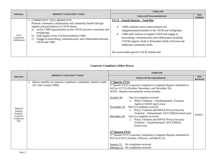|                                    | <b>PRIORITY GOALS/KEY TASKS</b>                                                                                                                                                                                                                                                                                                                                              | <b>TIMELINE</b>                                                                                                                                                                                                                                                                                                                                                                       |                        |
|------------------------------------|------------------------------------------------------------------------------------------------------------------------------------------------------------------------------------------------------------------------------------------------------------------------------------------------------------------------------------------------------------------------------|---------------------------------------------------------------------------------------------------------------------------------------------------------------------------------------------------------------------------------------------------------------------------------------------------------------------------------------------------------------------------------------|------------------------|
| Reference                          |                                                                                                                                                                                                                                                                                                                                                                              | <b>Status (with Recommendations)</b>                                                                                                                                                                                                                                                                                                                                                  | Date<br><b>Updated</b> |
| Good<br>Community<br>Collaboration | 7. COMMUNITY COLLABORATIVE<br>Promote community collaboration and community benefit through<br>support and participation in CSCB efforts.<br>Active CMH representation on the CSCB executive committee and<br>a)<br>workgroups.<br>Staff support of the CSCB provided by CMH.<br>b)<br>Engage in networking, communication, and collaboration between<br>C)<br>CSCB and CMH. | FY 21 – Fourth Quarter – Goal Met<br>CMH continues active representation and<br>engagement/participation in the CSCB and workgroups<br>CMH staff continue to support CSCB and engage in<br>networking, communication and collaboration including<br>COVID support, Walk to Remember Walk to Prevent and<br>additional community needs.<br>See social media goal for CSCB website info |                        |

# **Corporate Compliance-Abbey Brown**

|                                                                      |                                                                                               | <b>TIMELINE</b>                                                                                                                                                                                                                                                                                                                                                                                                                                                                                                                                                                                                                                                                                                                                                                                                                               |                         |
|----------------------------------------------------------------------|-----------------------------------------------------------------------------------------------|-----------------------------------------------------------------------------------------------------------------------------------------------------------------------------------------------------------------------------------------------------------------------------------------------------------------------------------------------------------------------------------------------------------------------------------------------------------------------------------------------------------------------------------------------------------------------------------------------------------------------------------------------------------------------------------------------------------------------------------------------------------------------------------------------------------------------------------------------|-------------------------|
| <b>Reference</b>                                                     | <b>PRIORITY GOALS/KEY TASKS</b>                                                               | <b>Status (with Recommendations)</b>                                                                                                                                                                                                                                                                                                                                                                                                                                                                                                                                                                                                                                                                                                                                                                                                          | Date<br><b>Reviewed</b> |
| Medicaid<br>Integrity<br>Program,<br>Corporate<br>Compliance<br>Plan | Report monthly on corporate compliance complaints; identify trends<br>(St. Clair County CMH). | 1 <sup>st</sup> Quarter FY21:<br>1 <sup>st</sup> Quarter FY21 Corporate Compliance Complaint Reports submitted to<br>R10 on 1/27/21 (October, November, and December 20).<br>NOTE: Reports sent quarterly versus monthly.<br>October 20:<br>One (1) complaint received:<br>Policy Violation - Unsubstantiated (Contract<br>Agency) OASIS log-in issue<br>One (1) complaint received:<br>November 20:<br>1. Policy Violation and HIPAA Privacy/Security<br>Violation – Substantiated (SCCCMHA), Email issue<br>One (1) complaint received:<br>December 20:<br>1. Policy Violation and HIPAA Privacy/Security<br>Violation - Unsubstantiated (SCCCMHA)<br>Email issue<br>2 <sup>nd</sup> Quarter FY21:<br>2 <sup>nd</sup> Quarter FY21 Corporate Compliance Complaint Reports submitted to<br>R10 on 4/16/21 (January, February, and March 21). | 9/30/21                 |
|                                                                      |                                                                                               | January 21: No complaints received.<br>February 21: No complaints received.                                                                                                                                                                                                                                                                                                                                                                                                                                                                                                                                                                                                                                                                                                                                                                   |                         |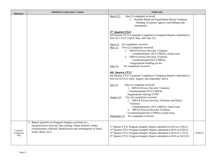| Reference                       | PRIORITY GOALS/KEY TASKS                                                                                                                                                                                                    | <b>TIMELINE</b>                                                                                                                                                                                                                                                                                                                                                                                                                       |         |
|---------------------------------|-----------------------------------------------------------------------------------------------------------------------------------------------------------------------------------------------------------------------------|---------------------------------------------------------------------------------------------------------------------------------------------------------------------------------------------------------------------------------------------------------------------------------------------------------------------------------------------------------------------------------------------------------------------------------------|---------|
|                                 |                                                                                                                                                                                                                             | One (1) complaint received:<br>March 21:<br>1. Possible Medicaid Fraud/Abuse/Waste Violation<br>- Pending (Contract Agency used billing code<br>improperly)                                                                                                                                                                                                                                                                           |         |
|                                 |                                                                                                                                                                                                                             | 3rd Quarter FY21:<br>3rd Quarter FY21 Corporate Compliance Complaint Reports submitted to<br>R10 on 7/15/21 (April, May, and June 21).                                                                                                                                                                                                                                                                                                |         |
|                                 |                                                                                                                                                                                                                             | April 21: No complaints received.<br>May $21$ : Two $(2)$ complaints received:<br>1. HIPAA Privacy/Security Violation<br>- Unsubstantiated (SCCCMHA), Email issue<br>2. HIPAA Privacy/Security Violation<br>- Unsubstantiated (SCCCMHA)<br>Inappropriate building access<br>No complaints received.<br><b>June 21:</b>                                                                                                                |         |
|                                 |                                                                                                                                                                                                                             | 4th Quarter FY21:<br>4th Quarter FY21 Corporate Compliance Complaint Reports submitted to<br>$R10$ on $10/15/21$ (July, August, and September 2021).                                                                                                                                                                                                                                                                                  |         |
|                                 |                                                                                                                                                                                                                             | One (1) complaint received:<br>July $21$ :<br>1. HIPAA Privacy/Security Violation<br>- Unsubstantiated (SCCCMHA)<br>Inappropriate sharing of PHI<br>Two (2) complaints received:<br>August 21:<br>1. HIPAA Privacy/Security Violation and Policy<br>Violation<br>- Unsubstantiated (SCCCMHA), Email issue<br>2. HIPAA Privacy/Security Violation<br>- Unsubstantiated (SCCCMHA), Email Issue<br>September 21: No complaints received. |         |
| Corporate<br>Compliance<br>Plan | 2. Report quarterly on Program Integrity activities (i.e.,<br>tips/grievances received, data mining, claims analysis, audits,<br>overpayments collected, identification and investigation of fraud,<br>waste, abuse, etc.). | 1st Quarter FY21 Program Integrity Report submitted to R10 on 1/28/21.<br>2 <sup>nd</sup> Quarter FY21 Program Integrity Report submitted to R10 on 4/30/21.<br>3rd Quarter FY21 Program Integrity Report submitted to R10 on 7/15/21.<br>4 <sup>th</sup> Quarter FY21 Program Integrity Report submitted to R10 on 10/15/21.                                                                                                         | 9/30/21 |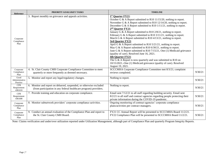| <b>Reference</b>                     | PRIORITY GOALS/KEY TASKS                                                                                                                 | <b>TIMELINE</b>                                                                                                                                                                                                                                                                                                                                                                                                                                                                                                                                                                                                                                                                                                                                                                                                                                                                                                                                                                |         |
|--------------------------------------|------------------------------------------------------------------------------------------------------------------------------------------|--------------------------------------------------------------------------------------------------------------------------------------------------------------------------------------------------------------------------------------------------------------------------------------------------------------------------------------------------------------------------------------------------------------------------------------------------------------------------------------------------------------------------------------------------------------------------------------------------------------------------------------------------------------------------------------------------------------------------------------------------------------------------------------------------------------------------------------------------------------------------------------------------------------------------------------------------------------------------------|---------|
| Corporate<br>Compliance<br>Plan      | 3. Report monthly on grievance and appeals activities.                                                                                   | 1 <sup>st</sup> Quarter FY21:<br>October G & A Report submitted to R10 11/15/20, nothing to report.<br>November G & A Report submitted to R10 12/14/20, nothing to report.<br>December G & A Report submitted to R10 $1/11/21$ , nothing to report.<br>2 <sup>nd</sup> Quarter FY21:<br>January G & A Report submitted to R10 $2/8/21$ , nothing to report.<br>February G & A Report submitted to R10 $3/11/21$ , nothing to report.<br>March G & A Report submitted to R10 4/13/21, nothing to report.<br>3rd Quarter FY21:<br>April G & A Report submitted to R10 $5/21/21$ , nothing to report.<br>May G & A Report submitted to R10 6/30/21, nothing to report.<br>June G & A Report submitted to R10 7/15/21, One (1) Medicaid grievance<br>(quality of care). Resolved June 16, 2021.<br>4th Quarter FY21:<br>The G $\&$ A Report is now quarterly and was submitted to R10 on<br>10/15/2021.-One (1) Medicaid grievance (quality of care). Resolved<br>August 19, 2021. |         |
| Corporate<br>Compliance<br>Plan      | 4. St. Clair County CMH Corporate Compliance Committee to meet<br>quarterly or more frequently as deemed necessary.                      | SCCCMHA Corporate Compliance Committee met 8/3/21; complaint<br>reviews completed.                                                                                                                                                                                                                                                                                                                                                                                                                                                                                                                                                                                                                                                                                                                                                                                                                                                                                             | 9/30/21 |
| Good<br>Administrative<br>Practice   | 5. Monitor and report any legal/regulatory changes.                                                                                      | Nothing to report.                                                                                                                                                                                                                                                                                                                                                                                                                                                                                                                                                                                                                                                                                                                                                                                                                                                                                                                                                             | 9/30/21 |
| <b>CFR</b><br>Requirement<br>438.610 | 6. Monitor and report on debarred, suspended, or otherwise excluded<br>(from participation in any federal healthcare program) providers. | Nothing to report.                                                                                                                                                                                                                                                                                                                                                                                                                                                                                                                                                                                                                                                                                                                                                                                                                                                                                                                                                             | 9/30/21 |
| <b>CFR</b><br>Requirement<br>438.608 | 7. Provide training and education on corporate compliance.                                                                               | Email sent 7/12/21 to all staff regarding building security. Email sent<br>8/2/21 to all staff and contract agencies regarding people protecting their<br>private information during the COVID-19 pandemic.                                                                                                                                                                                                                                                                                                                                                                                                                                                                                                                                                                                                                                                                                                                                                                    | 9/30/21 |
| Corporate<br>Compliance<br>Plan      | 8. Monitor subnetwork providers' corporate compliance activities.                                                                        | Ongoing monitoring of contract agencies' corporate compliance<br>plans/activities per contract managers.                                                                                                                                                                                                                                                                                                                                                                                                                                                                                                                                                                                                                                                                                                                                                                                                                                                                       | 9/30/21 |
| Corporate<br>Compliance<br>Plan      | 9. Conduct an annual evaluation of the Compliance Plan and report to<br>the St. Clair County CMH Board.                                  | FY21 CC Annual Report will be presented to SCCCMHA Board 11/2/21.<br>FY22 Compliance Plan will be presented to SCCCMHA Board 11/2/21.                                                                                                                                                                                                                                                                                                                                                                                                                                                                                                                                                                                                                                                                                                                                                                                                                                          | 9/30/21 |

Note: Claims verification and under/over utilization reported under Utilization Management, although part of Compliance Plan and quarterly Program Integrity Reports.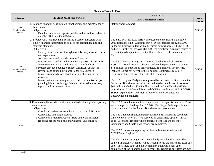| <b>Finance-Karen A. Farr</b> |  |  |
|------------------------------|--|--|
|------------------------------|--|--|

|                                    |                                                                                                                                                                                                                                                                                                                                                                                                                                                                                                                                                                                                                                                                                                                                                                                                      | <b>TIMELINE</b>                                                                                                                                                                                                                                                                                                                                                                                                                                                                                                                                                                                                                                                                                                                                                                                                                                                                                                                                                                                                                                                                                                                                                |                        |
|------------------------------------|------------------------------------------------------------------------------------------------------------------------------------------------------------------------------------------------------------------------------------------------------------------------------------------------------------------------------------------------------------------------------------------------------------------------------------------------------------------------------------------------------------------------------------------------------------------------------------------------------------------------------------------------------------------------------------------------------------------------------------------------------------------------------------------------------|----------------------------------------------------------------------------------------------------------------------------------------------------------------------------------------------------------------------------------------------------------------------------------------------------------------------------------------------------------------------------------------------------------------------------------------------------------------------------------------------------------------------------------------------------------------------------------------------------------------------------------------------------------------------------------------------------------------------------------------------------------------------------------------------------------------------------------------------------------------------------------------------------------------------------------------------------------------------------------------------------------------------------------------------------------------------------------------------------------------------------------------------------------------|------------------------|
| <b>Reference</b>                   | PRIORITY GOALS/KEY TASKS                                                                                                                                                                                                                                                                                                                                                                                                                                                                                                                                                                                                                                                                                                                                                                             | <b>Status (with Recommendations)</b>                                                                                                                                                                                                                                                                                                                                                                                                                                                                                                                                                                                                                                                                                                                                                                                                                                                                                                                                                                                                                                                                                                                           | Date<br><b>Updated</b> |
| Good<br>Administrative<br>Practice | Manage financial risks through establishment and maintenance of<br>fund balances.<br>Objectives:<br>o Establish, review and update policies and procedures related to<br>our CMHSP Local Fund Balance                                                                                                                                                                                                                                                                                                                                                                                                                                                                                                                                                                                                | Nothing new to report.                                                                                                                                                                                                                                                                                                                                                                                                                                                                                                                                                                                                                                                                                                                                                                                                                                                                                                                                                                                                                                                                                                                                         | 9/30/21                |
| Good<br>Administrative<br>Practice | 2. Provide CEO, Management Team and Board of Directors with<br>timely financial information to be used for decision making and<br>strategic planning.<br>Objectives:<br>o Identify fiscal concerns through monthly analysis of revenues<br>and expenditures<br>o Analyze trends and provide revenue forecasts<br>o Prepare annual budget and provide comparison of budget to<br>actual revenues and expenditures on a monthly basis<br>o Prepare amended budget to reflect significant changes in<br>revenues and expenditures of the agency, as needed<br>o Make recommendations about how to best utilize agency<br>resources<br>o Interact with other managers to provide consultative support to<br>planning initiatives through financial information analyses,<br>reports, and recommendations | The YTD May 31, 2020 FBR was presented to the Board at the July 6,<br>2021 Board meeting. Currently our YTD expenditures are \$2,869,000<br>under our Revised Budget with a Medicaid surplus of \$3,878,612 YTD<br>and a GF surplus of just over \$88,360. The significant surplus is related to<br>the anticipated expenditures that will take place over the remainder of the<br>FY.<br>The FY21 Revised Budget was approved by the Board of Directors at the<br>April 2021 Board meeting reflecting budgeted expenditures of just over<br>\$73 million; an increase of approximately \$5.5 million. The increase<br>includes: Direct run payroll of \$1.2 million, Contractual costs of \$1.1<br>million and External Provider costs of \$3.3 million.<br>The FY21 Original Budget was approved by the Board of Directors at the<br>September Board meeting reflecting budgeted expenditures of just over<br>\$68 million including: \$58.5 million of Medicaid and Healthy MI Plan<br>expenditures, \$2.4 General Fund and COFR expenditures, \$3.8 of CCBHC<br>& SUD expenditures, and \$3.3 million of Earned Contracts and<br>Local/Other expenditures. | 9/30/21                |
| <b>MDHHS</b>                       | 3. Ensure compliance with local, state, and federal budgetary reporting<br>requirements.<br>Objectives:<br>o Coordinate and ensure completion of the annual Financial,<br>Compliance and Single Audits.<br>o Complete all required Federal, State and local financial<br>reporting per the Medicaid and General Fund contracts.                                                                                                                                                                                                                                                                                                                                                                                                                                                                      | The FY20 Compliance audit is complete and the report is finalized. There<br>were no reported Findings for FY2020! The Single Audit report is slated<br>to be completed for the August Board meeting presentation.<br>The FY20 audited financial statements have been issued and submitted<br>timely to the State of MI. We received an unqualified opinion (this is<br>good! ©) and the reports will be presented to the Board once the<br>Compliance and Single audit reports are completed.<br>The FY20 contractual reporting has been submitted timely to both<br>MDHHS and Region 10.<br>The FY20 audit has begun and is completely virtual at this time. The<br>audited financial statements will be issued prior to the March 31, 2021 due<br>date. The Single audit and the Compliance audit will begin upon<br>completion of the financial audit to ensure the reporting due dates are met.                                                                                                                                                                                                                                                            | 9/30/21                |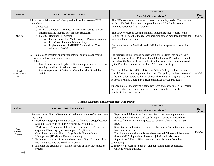|                                    |                                                                                                                                                                                                                                                                                                                                                                                                                                                          | <b>TIMELINE</b>                                                                                                                                                                                                                                                                                                                                                                                                                                                                                                                                                                                                                                                                                                                                                                          |                               |
|------------------------------------|----------------------------------------------------------------------------------------------------------------------------------------------------------------------------------------------------------------------------------------------------------------------------------------------------------------------------------------------------------------------------------------------------------------------------------------------------------|------------------------------------------------------------------------------------------------------------------------------------------------------------------------------------------------------------------------------------------------------------------------------------------------------------------------------------------------------------------------------------------------------------------------------------------------------------------------------------------------------------------------------------------------------------------------------------------------------------------------------------------------------------------------------------------------------------------------------------------------------------------------------------------|-------------------------------|
| <b>Reference</b>                   | PRIORITY GOALS/KEY TASKS                                                                                                                                                                                                                                                                                                                                                                                                                                 | <b>Status (with Recommendations)</b>                                                                                                                                                                                                                                                                                                                                                                                                                                                                                                                                                                                                                                                                                                                                                     | <b>Date</b><br><b>Updated</b> |
| <b>ARR 7/3</b>                     | 4. Promote collaboration, efficiency and uniformity between PIHP<br>members.<br>Objectives:<br>o Utilize the Region 10 Finance Officer's workgroup to share<br>information and identify best practice strategies.<br>o FY 2021 Regional CFO goals:<br>Funding allocation Methodology - Payment Reports<br>$\circ$<br><b>Risk-Based Payment Methodology</b><br>$\circ$<br>Implementation of MDHHS Standardized Cost<br>$\circ$<br><b>Allocation Model</b> | The CFO workgroup continues to meet on a monthly basis. The first two<br>goals of FY 2021 have been completed and the SCA Methodology<br>implementation work is in process.<br>The CFO workgroup submits monthly Funding Bucket Reports to the<br>Region 10 CFO so that the regional spending can be monitored timely for<br>informed budget decisions.<br>Currently there is a Medicaid and HMP funding surplus anticipated for<br>FY21.                                                                                                                                                                                                                                                                                                                                                | 9/30/21                       |
| Good<br>Administrative<br>Practice | 5. Establish and maintain appropriate internal controls over record<br>keeping and safeguarding of assets<br>Objectives:<br>o Establish, review and update policies and procedures for record<br>keeping, handling of cash and tracking of assets<br>o Ensure separation of duties to reduce the risk of fraudulent<br>activity                                                                                                                          | The majority of the Finance policies were consolidated into one "Board<br>Fiscal Responsibilities" Policy with a related Finance Procedures manual<br>for each of the Standards included within the policy which was approved<br>by the Board of Directors at the June 2021 Board meeting.<br>The consolidated Board Fiscal Responsibilities Policy has been drafted,<br>consolidating 12 finance policies into one. This policy has been presented<br>to the Board for review at the March Board meeting. Along with the new<br>policy is a related Board Fiscal Responsibilities Procedures guide.<br>Finance policies are currently being reviewed and consolidated to separate<br>out those which are Board approved policies from those identified as<br>Administrative Procedures. | 9/30/21                       |

### **Human Resources and Development-Kim Prowse**

| Reference                           |                                                                                                                                                                                                                                                                                                                                                                                                                                                                                                                                                                                                                                                            | <b>TIMELINE</b>                                                                                                                                                                                                                                                                                                                                                                                                                                                                                                                                                                                                                                             |                        |
|-------------------------------------|------------------------------------------------------------------------------------------------------------------------------------------------------------------------------------------------------------------------------------------------------------------------------------------------------------------------------------------------------------------------------------------------------------------------------------------------------------------------------------------------------------------------------------------------------------------------------------------------------------------------------------------------------------|-------------------------------------------------------------------------------------------------------------------------------------------------------------------------------------------------------------------------------------------------------------------------------------------------------------------------------------------------------------------------------------------------------------------------------------------------------------------------------------------------------------------------------------------------------------------------------------------------------------------------------------------------------------|------------------------|
|                                     | PRIORITY GOALS/KEY TASKS                                                                                                                                                                                                                                                                                                                                                                                                                                                                                                                                                                                                                                   | <b>Status (with Recommendations)</b>                                                                                                                                                                                                                                                                                                                                                                                                                                                                                                                                                                                                                        | Date<br><b>Updated</b> |
| Good<br><b>Business</b><br>Practice | 1. Review current Human Resource-related practice and software system<br>including:<br>a. Work with Sage implementation team to develop a bridge between<br>Sage and Cybertrain to improve workflow efficiency.<br>b. Work with Sage implementation team to introduce Sage Recruit<br>(Applicant Tracking System) to replace Applitrack.<br>c. Coordinate training/rollout of Sage People Human Capital<br>Management (HCM) and Recruit to agency.<br>d. Evaluate current recruitment and selection policy. Update to align<br>with new Sage Recruit workflow process.<br>e. Evaluate and establish best practice model of interview/selection<br>process. | a. Experienced delays from Sage after Recruit system implementation.<br>Followed up with Sage. Call set for Sage, Cybertrain, and Jodi to<br>discuss file information. Expected to have complete in the next 30<br>days.<br>b. Sage Recruit and WX are live and troubleshooting of initial small items<br>has been successful.<br>c. Training videos and job aids have been created. Videos will be viewed<br>through MLP. Supervisor videos and job aids will also go in<br>Supervisors folder in Fileshare under Sage. Training Completed.<br>d. Ongoing<br>e. Interview process has been developed; scoring form completed.<br>Currently being utilized. | 9/30/21                |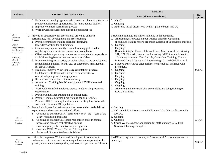|                                                                                                                                                         | PRIORITY GOALS/KEY TASKS                                                                                                                                                                                                                                                                                                                                                                                                                                                                                                                                                                                                                                                                                                                                                                                                                                                                                                                                                                                                                                                                                                                                                                                                                                                | <b>TIMELINE</b>                                                                                                                                                                                                                                                                                                                                                                                                                                                                                                                                                                                                                                                                                                                                                                                                                      |                               |
|---------------------------------------------------------------------------------------------------------------------------------------------------------|-------------------------------------------------------------------------------------------------------------------------------------------------------------------------------------------------------------------------------------------------------------------------------------------------------------------------------------------------------------------------------------------------------------------------------------------------------------------------------------------------------------------------------------------------------------------------------------------------------------------------------------------------------------------------------------------------------------------------------------------------------------------------------------------------------------------------------------------------------------------------------------------------------------------------------------------------------------------------------------------------------------------------------------------------------------------------------------------------------------------------------------------------------------------------------------------------------------------------------------------------------------------------|--------------------------------------------------------------------------------------------------------------------------------------------------------------------------------------------------------------------------------------------------------------------------------------------------------------------------------------------------------------------------------------------------------------------------------------------------------------------------------------------------------------------------------------------------------------------------------------------------------------------------------------------------------------------------------------------------------------------------------------------------------------------------------------------------------------------------------------|-------------------------------|
| Reference                                                                                                                                               |                                                                                                                                                                                                                                                                                                                                                                                                                                                                                                                                                                                                                                                                                                                                                                                                                                                                                                                                                                                                                                                                                                                                                                                                                                                                         | <b>Status (with Recommendations)</b>                                                                                                                                                                                                                                                                                                                                                                                                                                                                                                                                                                                                                                                                                                                                                                                                 | <b>Date</b><br><b>Updated</b> |
|                                                                                                                                                         | f. Evaluate and develop agency-wide succession planning program to<br>provide development opportunities for future agency leaders.<br>g. Improve volunteer recruitment process<br>h. Work towards movement to electronic personnel file                                                                                                                                                                                                                                                                                                                                                                                                                                                                                                                                                                                                                                                                                                                                                                                                                                                                                                                                                                                                                                 | f. 3Q 2021<br>g. Ongoing<br>h. Had some initial discussions with IT, plan to begin mid-2Q                                                                                                                                                                                                                                                                                                                                                                                                                                                                                                                                                                                                                                                                                                                                            |                               |
| Good<br><b>Business</b><br>Practice<br><b>CARF</b><br>Requirements<br>Sec.1.1.4 d,e<br>Sec. 1.1.9 f<br>$b)$ Sec.10.<br>Goal 2<br>$d)$ Sec.10,<br>Goal 1 | 2. Provide an opportunity for professional growth to enhance<br>performance, skill development and cross training.<br>a. Provide centralized training calendar identifying<br>topic/date/location for all trainings.<br>b. Continuously update/modify required training grid based on<br>regulatory requirements, and ensure staff compliance.<br>c. Offer/mandate supervisory courses to current/potential supervisors<br>via MyLearningPoint as courses become available.<br>d. Provide trainings on a variety of topics related to job development,<br>mental health, physical health, etc., as directed by management,<br>for all CMH staff.<br>e. Evaluate / improve "New Employee Orientation" process.<br>f. Collaborate with Regional HR staff, as appropriate, to<br>offer/develop regional training options.<br>g. Review Job Descriptions at least annually.<br>h. Administer "Training Needs" survey at each CMH sponsored<br>training.<br>i. Work with identified employee groups to address improvement<br>opportunities.<br>j. Provide Compliance training on an annual basis.<br>k. Provide Trauma Informed Care training for all new hires.<br>1. Provide LOCUS training for all new and existing hires who will<br>work with the Adult MI population. | Leadership trainings are still on hold due to the pandemic.<br>a. All trainings are posted on our website calendar. Upcoming<br>specialized training reports are made available at Supervisors meeting.<br>Ongoing<br>b.<br>Ongoing<br>$\mathbf{c}$ .<br>Recent trainings: Trauma Informed Care, Motivational Interviewing<br>d.<br>101; CPR/First Aid, Interactive Journaling, MHFA Adult & Youth.<br>Upcoming trainings: Zero Suicide, Caseholder Training, Trauma<br>Informed Care, Motivational Interviewing 101; and CPR/First Aid.<br>Surveys are reviewed after each session; feedback is shared with<br>e.<br>presenters.<br>f.<br>Ongoing<br>Ongoing<br>g.<br>Ongoing<br>h.<br>i.<br>Ongoing<br>j.<br>Ongoing<br>k.<br>Ongoing<br>All current and new staff who serve adults are being training on<br>1.<br>LOCUS training. | 9/30/21                       |
| Good<br><b>Business</b><br>Practice                                                                                                                     | 3. Reward employees for performance that meets and exceeds defined<br>expectations and recognize continued efforts.<br>a. Continue to evaluate CMH "Staff of the Year" and "Team of the<br>Year" recognition programs<br>Continue to evaluate CMH staff recognition and enrichment<br>b.<br>process and explore cost-effective options<br>Continue yearly CMH anniversary recognition<br>c.<br>Continue CMH "Years of Service" Recognition<br>d.<br>Assist with/Sponsor Wellness Activities<br>e.                                                                                                                                                                                                                                                                                                                                                                                                                                                                                                                                                                                                                                                                                                                                                                       | a. Ongoing<br>b. Had some initial discussions with Tammy Lake. Plan to discuss with<br>EWDC.<br>c. Ongoing<br>d. Ongoing<br>e. Carrot Wellness phone application for staff launched 2/15. First<br>Survivor Challenge complete.                                                                                                                                                                                                                                                                                                                                                                                                                                                                                                                                                                                                      | 9/30/21                       |
| Good<br><b>Business</b><br>Practice                                                                                                                     | 4. Utilize the Employee Wellness and Development Committee to<br>evaluate needs in areas such as training, education, opportunities for<br>growth, advancement, recognition, wellness, and personal enrichment.                                                                                                                                                                                                                                                                                                                                                                                                                                                                                                                                                                                                                                                                                                                                                                                                                                                                                                                                                                                                                                                         | EWDC meetings started back up in November 2020. Committee meets<br>quarterly.                                                                                                                                                                                                                                                                                                                                                                                                                                                                                                                                                                                                                                                                                                                                                        | 9/30/21                       |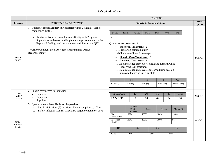# **Safety-Latina Cates**

|                                   |                                                                                                                                                                                                                                                                                                                                                           | <b>TIMELINE</b>                                                                                                                                                                                                                                                                                                                                                                                                                                                                                                                                                                                                               |                               |  |
|-----------------------------------|-----------------------------------------------------------------------------------------------------------------------------------------------------------------------------------------------------------------------------------------------------------------------------------------------------------------------------------------------------------|-------------------------------------------------------------------------------------------------------------------------------------------------------------------------------------------------------------------------------------------------------------------------------------------------------------------------------------------------------------------------------------------------------------------------------------------------------------------------------------------------------------------------------------------------------------------------------------------------------------------------------|-------------------------------|--|
| <b>Reference</b>                  | PRIORITY GOALS/KEY TASKS                                                                                                                                                                                                                                                                                                                                  | <b>Status (with Recommendations)</b>                                                                                                                                                                                                                                                                                                                                                                                                                                                                                                                                                                                          | <b>Date</b><br><b>Updated</b> |  |
| <b>OSHA</b><br>08.450             | 1. Quarterly, report Employee Accidents within 24 hours. Target<br>compliance 100%.<br>a. Advise on issues of compliance difficulty with Program<br>Supervisors to develop and implement improvement activities.<br>b. Report all findings and improvement activities to the QIC.<br>"Workers Compensation. Accident Reporting and OSHA<br>Recordkeeping" | 48 hrs.<br>72 hrs.<br>24 hrs.<br>1 wk.<br>2 wk.<br>3 wk.<br>$4$ wk.<br>$\mathbf{3}$<br><b>QUARTER ACCIDENTS: 5</b><br><b>Received Treatment: 2</b><br>$\bullet$<br>1-Hi elbow on cement planter<br>1-Fell while walking down steps<br><b>Sought Own Treatment: 0</b><br>$\bullet$<br><b>Declined Treatment: 3</b><br>$\bullet$<br>1-Child scratched employee's chest and forearm while<br>receiving task assistance<br>1-Child scratched employee's forearm during session<br>1-Employee kicked in knee by child<br>1Q<br>2Q<br>3Q<br>4Q<br>Annual<br>$100\%$ (1)<br>100% (2)<br>$100\%$ (5)<br>$60\%$ $(3/5)$<br>85% (11/13) | 9/30/21                       |  |
| <b>CARF</b><br>Health &<br>Safety | 2. Ensure easy access to First Aid:<br>Expertise<br>a.<br>Equipment<br>b.<br>Supplies<br>c.                                                                                                                                                                                                                                                               | Event/Quarter<br>1Q<br>2Q<br>3Q<br>4Q<br>Total<br>24<br>42<br>24<br>FA & CPR<br>$\Omega$<br>90                                                                                                                                                                                                                                                                                                                                                                                                                                                                                                                                | 9/30/21                       |  |
| <b>CARF</b><br>Health &<br>Safety | Quarterly, completed Building Inspection.<br>3.<br>Site Participation, (5) locations. Target compliance, 100%.<br>a.<br>Safety/Infection Control Checklist. Target compliance, 95%.<br>b.                                                                                                                                                                 | Child &<br>Family<br>Marine City<br>Capac<br>Electric<br>Services<br>Site<br>100%<br>100%<br>100%<br>100%<br>Participation<br>100%<br>100%<br>100%<br>96%<br>Inspection<br>Checklist<br>1Q<br>2Q<br>3Q<br>4Q<br>100%<br>99%<br>100%<br>96%                                                                                                                                                                                                                                                                                                                                                                                    | 9/30/21                       |  |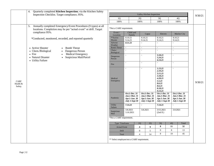|                    | Quarterly completed Kitchen Inspection; via the Kitchen Safety<br>4.<br>Inspection Checklist. Target compliance, 95%.                 |                                   |                                                                          | Galley Kitchen Inspection                                         |                                                                          |                          |                                                                          | 9/30/21 |
|--------------------|---------------------------------------------------------------------------------------------------------------------------------------|-----------------------------------|--------------------------------------------------------------------------|-------------------------------------------------------------------|--------------------------------------------------------------------------|--------------------------|--------------------------------------------------------------------------|---------|
|                    |                                                                                                                                       | 1Q                                |                                                                          | 2Q                                                                | 3Q                                                                       |                          | $4{\rm Q}$                                                               |         |
|                    |                                                                                                                                       | 100%                              |                                                                          | 100%                                                              | 100%                                                                     |                          | 100%                                                                     |         |
|                    | 5. Annually completed Emergency/Event Procedures (9 types) at all<br>locations. Completion may be per "actual event" or drill. Target | *Not a CARF requirement.          |                                                                          |                                                                   |                                                                          |                          |                                                                          |         |
|                    | compliance 95%.                                                                                                                       | Event /<br>Location               | Child and<br>Family                                                      | Capac                                                             | Electric                                                                 |                          | Marine City                                                              |         |
|                    | *Conducted, monitored, recorded, and reported quarterly                                                                               | **Active<br>Shooter               | 8.10.21<br>9.14.21                                                       | 8.10.21<br>9.14.21                                                | 8.10.21<br>9.14.21                                                       | 8.10.21<br>9.14.21       |                                                                          |         |
|                    |                                                                                                                                       | Adverse<br>Weather                | 8.11.21                                                                  | $\overline{a}$                                                    | $\overline{a}$                                                           | $\overline{\phantom{a}}$ |                                                                          |         |
|                    | • Active Shooter<br><b>Bomb Threat</b><br>• Chem./Biological<br>Dangerous Person                                                      | <b>Bomb Threat</b><br>Chem/       | L.<br>$\mathbf{r}$                                                       | $\sim$<br>$\sim$                                                  | $\mathcal{L}$<br>$\sim$                                                  | $\overline{a}$           |                                                                          |         |
|                    | $\bullet$ Fire<br>Medical Emergency<br>• Natural Disaster<br>Suspicious Mail/Parcel<br>$\bullet$<br>• Utility Failure                 | Biological<br>Dangerous<br>Person |                                                                          | $\sim$                                                            | 3.18.21<br>5.24.21<br>6.14.21                                            | $\sim$                   |                                                                          |         |
|                    |                                                                                                                                       | Fire                              | $\sim$                                                                   | $\mathbb{Z}^2$                                                    | $\mathcal{L}$                                                            | $\sim$                   |                                                                          |         |
| <b>CARF</b>        |                                                                                                                                       | Medical<br>Emergency              | $\overline{a}$                                                           | $\mathcal{L}$                                                     | 1.13.21<br>2.19.21<br>3.11.21<br>3.18.21<br>4.28.21<br>5.5.21            | $\sim$                   |                                                                          |         |
| Health &<br>Safety |                                                                                                                                       |                                   |                                                                          |                                                                   | 8.6.21<br>8.6.21<br>8.18.21<br>9.13.21                                   |                          |                                                                          | 9/30/21 |
|                    |                                                                                                                                       | Pandemic                          | Oct.1-Dec. 31<br><b>Jan.1-Mar. 31</b><br>Apr.1-Jun. 30<br>July 1-Sept 30 | Oct.1-Dec. 31<br>Jan.1-Mar. 31<br>Apr.1-Jun. 30<br>July 1-Sept 30 | Oct.1-Dec. 31<br><b>Jan.1-Mar. 31</b><br>Apr.1-Jun. 30<br>July 1-Sept 30 |                          | Oct.1-Dec. 31<br><b>Jan.1-Mar. 31</b><br>Apr.1-Jun. 30<br>July 1-Sept 30 |         |
|                    |                                                                                                                                       | Utility<br>Failure                | 7.14.21                                                                  | $\blacksquare$                                                    | 7.14.21                                                                  | $\sim$                   |                                                                          |         |
|                    |                                                                                                                                       | Suspicious<br>Mail                | 3.8.2021<br>3.16.2021                                                    | 3.8.2021                                                          | 3/15.2021<br>$(2nd \text{ fl.})$                                         | 3.9.2021                 |                                                                          |         |
|                    |                                                                                                                                       | *Not a CARF requirement.          |                                                                          |                                                                   |                                                                          |                          |                                                                          |         |
|                    |                                                                                                                                       | Type/Timeframe                    |                                                                          | 1Q<br>2Q                                                          | 3Q<br>8                                                                  | 4Q<br>11                 | Total<br>32                                                              |         |
|                    |                                                                                                                                       | <b>Actual Event</b><br>Drill      |                                                                          | $\overline{\mathbf{4}}$<br>9<br>$\overline{0}$<br>5               | $\overline{0}$                                                           | 8                        | 13                                                                       |         |
|                    |                                                                                                                                       | Total                             |                                                                          | $\overline{4}$<br>14                                              | 8                                                                        | 19                       | 45                                                                       |         |
|                    |                                                                                                                                       |                                   | ** Select employee/not a CARF requirement.                               |                                                                   |                                                                          |                          |                                                                          |         |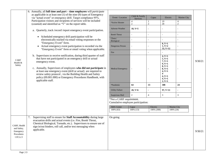|                                                                     | 6. Annually, all full time and part – time employees will <i>participate</i><br>as applicable in at least one $(1)$ of the nine $(9)$ types of Emergency<br>via "actual event" or emergency drill. Target compliance 95%.                                                                                                                                                                                                 | Event / Location                                               | Child & Family<br>Services       | Capac                  | Electric                                                                                                                | <b>Marine City</b>       |         |
|---------------------------------------------------------------------|---------------------------------------------------------------------------------------------------------------------------------------------------------------------------------------------------------------------------------------------------------------------------------------------------------------------------------------------------------------------------------------------------------------------------|----------------------------------------------------------------|----------------------------------|------------------------|-------------------------------------------------------------------------------------------------------------------------|--------------------------|---------|
|                                                                     | Participation visitors and recipients of services will be included<br>(counted) and identified as "V" on the report table.                                                                                                                                                                                                                                                                                                | *Active Shooter                                                | $\overline{4}$<br>$\overline{c}$ | -1<br>2                | 19<br>20                                                                                                                | $\overline{4}$<br>2      |         |
|                                                                     | a. Quarterly, track /record /report emergency event participation.                                                                                                                                                                                                                                                                                                                                                        | <b>Adverse Weather</b>                                         | $18, V=5$                        |                        |                                                                                                                         |                          |         |
|                                                                     | • Scheduled emergency drill participation will be                                                                                                                                                                                                                                                                                                                                                                         | <b>Bomb Threat</b>                                             | $\overline{a}$                   | $\sim$                 | $\overline{a}$                                                                                                          | $\sim$                   |         |
|                                                                     | electronically tracked via email voting responses or the<br>"Emergency Event" form.                                                                                                                                                                                                                                                                                                                                       | Chem.<br>Biological                                            | $\overline{a}$                   |                        |                                                                                                                         |                          |         |
|                                                                     | Actual emergency event participation is recorded via the<br>$\bullet$<br>"Emergency Event" form or email voting when applicable.                                                                                                                                                                                                                                                                                          | Dangerous Person                                               | $\overline{a}$                   |                        | $8, V=1$<br>$1, V=2$<br>53, V=12                                                                                        |                          |         |
|                                                                     |                                                                                                                                                                                                                                                                                                                                                                                                                           | Fire                                                           | $\overline{a}$                   |                        |                                                                                                                         |                          |         |
| <b>CARF</b><br>Health &<br>Safety                                   | b. Supervisors to receive notification, during third quarter of staff<br>that have not participated in an emergency drill or actual<br>emergency event.<br>c. Annually, Supervisors of employees who did not participate in<br>at least one emergency event (drill or actual) are required to<br>review safety protocol, via the Building Health and Safety<br>policy (09.001.000) or Emergency Procedures Handbook, with | <b>Medical Emergency</b>                                       |                                  |                        | $4, V=1$<br>$5, V=1$<br>$7, V=1$<br>$9, V=1$<br>$8, V=1$<br>$8, V=1$<br>$4, V=1$<br>$\overline{\mathbf{4}}$<br>$4, V=1$ |                          | 9/30/21 |
|                                                                     | applicable staff.                                                                                                                                                                                                                                                                                                                                                                                                         |                                                                |                                  |                        | $4, V=1$<br>$2, V=1$                                                                                                    |                          |         |
|                                                                     |                                                                                                                                                                                                                                                                                                                                                                                                                           | *Pandemic                                                      | 64                               | 13                     | 308                                                                                                                     | 24                       |         |
|                                                                     |                                                                                                                                                                                                                                                                                                                                                                                                                           | <b>Utility Failure</b>                                         | $20, V=6$                        | $\overline{a}$         | $97, V=11$                                                                                                              | $\blacksquare$           |         |
|                                                                     |                                                                                                                                                                                                                                                                                                                                                                                                                           | Suspicious Mail                                                | $\overline{2}$                   | $\overline{4}$         | $\mathfrak{Z}$                                                                                                          | 3                        |         |
|                                                                     |                                                                                                                                                                                                                                                                                                                                                                                                                           | *Not a CARF requirement.<br>Cumulative employee participation: |                                  |                        |                                                                                                                         |                          |         |
|                                                                     |                                                                                                                                                                                                                                                                                                                                                                                                                           | <b>ABA</b> Center<br>100% (63)                                 | Capac<br>100% (13)               | Electric<br>100% (308) |                                                                                                                         | Marine City<br>100% (24) |         |
|                                                                     |                                                                                                                                                                                                                                                                                                                                                                                                                           |                                                                |                                  |                        |                                                                                                                         |                          |         |
| CARF, Health<br>and Safety,<br>Emergency<br>Procedures<br>1.H.5.c.5 | Supervising staff to ensure for Staff Accountability during large<br>7.<br>evacuation drills and actual events (i.e. Fire, Bomb Threat,<br>Chemical Biological, Tornado, etc.). Supervisors to ensure use of<br>sign in/out binders, roll call, and/or text messaging when<br>applicable.                                                                                                                                 | On going                                                       |                                  |                        |                                                                                                                         |                          | 9/30/21 |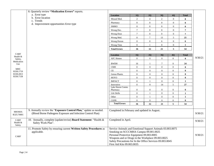|                             | 8. Quarterly review "Medication Errors" reports.                                                                                 |                                                                                                                                                                                                                                                                                                 |                  |                  |                  |                  |                  |         |
|-----------------------------|----------------------------------------------------------------------------------------------------------------------------------|-------------------------------------------------------------------------------------------------------------------------------------------------------------------------------------------------------------------------------------------------------------------------------------------------|------------------|------------------|------------------|------------------|------------------|---------|
|                             | a. Error type                                                                                                                    | <b>Location</b>                                                                                                                                                                                                                                                                                 | 1Q               | 2Q               | 3Q               | 4Q               | <b>Total</b>     |         |
|                             | b. Error location                                                                                                                | Missed Med.                                                                                                                                                                                                                                                                                     | $\sqrt{2}$       | $\overline{4}$   | $\sqrt{2}$       | $\boldsymbol{0}$ | 8                |         |
|                             | c. Trends                                                                                                                        | Pharmacy                                                                                                                                                                                                                                                                                        | $\boldsymbol{0}$ | $\mathbf{0}$     | $\boldsymbol{0}$ | $\mathbf{0}$     | $\bf{0}$         |         |
|                             | d. Improvement opportunities Error type                                                                                          | <b>SMMO</b>                                                                                                                                                                                                                                                                                     | $\boldsymbol{0}$ | $\boldsymbol{0}$ | $\overline{0}$   | $\mathbf{0}$     | $\bf{0}$         |         |
|                             |                                                                                                                                  | Wrong Doc.                                                                                                                                                                                                                                                                                      | $\tau$           | $\overline{0}$   | $\overline{0}$   | $\overline{0}$   | $\overline{7}$   |         |
|                             |                                                                                                                                  | Wrong Dose                                                                                                                                                                                                                                                                                      | $\tau$           | $\overline{0}$   | $\overline{0}$   | $\overline{0}$   | $\overline{7}$   |         |
|                             |                                                                                                                                  | Wrong Med.                                                                                                                                                                                                                                                                                      | $\mathbf{0}$     | $\tau$           | 13               | 5                | $25\,$           |         |
|                             |                                                                                                                                  | Wrong Person                                                                                                                                                                                                                                                                                    | $\mathbf{0}$     | $\mathbf{0}$     | 6                | $\mathbf{0}$     | 6                |         |
|                             |                                                                                                                                  | Wrong Time                                                                                                                                                                                                                                                                                      | $\boldsymbol{0}$ | $\mathbf{1}$     | $\boldsymbol{0}$ | $\mathbf{0}$     | $\mathbf{1}$     |         |
|                             |                                                                                                                                  | <b>Total Errors</b>                                                                                                                                                                                                                                                                             | 16               | 12               | 21               | $\overline{5}$   | 54               |         |
| <b>CARF</b>                 |                                                                                                                                  |                                                                                                                                                                                                                                                                                                 |                  |                  |                  |                  |                  |         |
| Health &                    |                                                                                                                                  | Location                                                                                                                                                                                                                                                                                        | <b>10</b>        | 2Q               | 3Q               | 4Q               | <b>Total</b>     | 9/30/21 |
| Safety,<br>Medication       |                                                                                                                                  | <b>AFC Homes</b>                                                                                                                                                                                                                                                                                | $\mathbf{0}$     | $\overline{0}$   | $\overline{0}$   | $\overline{0}$   | $\bf{0}$         |         |
| Use                         |                                                                                                                                  | <b>BWDH</b>                                                                                                                                                                                                                                                                                     | 16               | $\overline{1}$   | $\tau$           | $\boldsymbol{0}$ | ${\bf 24}$       |         |
|                             |                                                                                                                                  | $\rm CMH$                                                                                                                                                                                                                                                                                       | $\boldsymbol{0}$ | $\mathbf{0}$     | $\boldsymbol{0}$ | $\boldsymbol{0}$ | $\bf{0}$         |         |
| <b>MHC</b><br>R330.1719     |                                                                                                                                  | $\rm CE$                                                                                                                                                                                                                                                                                        | $\boldsymbol{0}$ | $\overline{0}$   | $\overline{0}$   | $\overline{0}$   | $\bf{0}$         |         |
| R330.2813                   |                                                                                                                                  | Genoa Pharm.                                                                                                                                                                                                                                                                                    | $\mathbf{0}$     | $\overline{0}$   | $\overline{0}$   | $\mathbf{0}$     | $\bf{0}$         |         |
| R330.7158                   |                                                                                                                                  | HOYO                                                                                                                                                                                                                                                                                            | $\mathbf{0}$     | $\overline{0}$   | $\overline{0}$   | $\boldsymbol{0}$ | $\bf{0}$         |         |
|                             |                                                                                                                                  | <b>IMPACT</b>                                                                                                                                                                                                                                                                                   | $\boldsymbol{0}$ |                  | $\overline{0}$   | $\boldsymbol{0}$ | $\mathbf{1}$     |         |
|                             |                                                                                                                                  | Innovative                                                                                                                                                                                                                                                                                      | $\boldsymbol{0}$ | 8                | $14\,$           | 5                | $\bf 27$         |         |
|                             |                                                                                                                                  | Lake Huron Comm.<br>Pharmacy                                                                                                                                                                                                                                                                    | $\boldsymbol{0}$ | $\overline{0}$   | $\overline{0}$   | $\boldsymbol{0}$ | $\bf{0}$         |         |
|                             |                                                                                                                                  | Life Skills                                                                                                                                                                                                                                                                                     | $\boldsymbol{0}$ | $\overline{1}$   | $\boldsymbol{0}$ | $\boldsymbol{0}$ | $\mathbf{1}$     |         |
|                             |                                                                                                                                  | Other                                                                                                                                                                                                                                                                                           | $\mathbf{0}$     | $\overline{1}$   | $\boldsymbol{0}$ | $\mathbf{0}$     | $\mathbf{1}$     |         |
|                             |                                                                                                                                  | <b>COFR</b>                                                                                                                                                                                                                                                                                     | $\boldsymbol{0}$ | $\boldsymbol{0}$ | $\boldsymbol{0}$ | $\boldsymbol{0}$ | $\boldsymbol{0}$ |         |
|                             |                                                                                                                                  | <b>Total Errors</b>                                                                                                                                                                                                                                                                             | 16               | 12               | 21               | 5                | 54               |         |
|                             |                                                                                                                                  |                                                                                                                                                                                                                                                                                                 |                  |                  |                  |                  |                  |         |
| <b>MIOSHA</b><br>R325.70001 | 9. Annually review the "Exposure Control Plan," update as needed.<br>(Blood Borne Pathogens Exposure and Infection Control Plan) | Completed in February and updated in August.                                                                                                                                                                                                                                                    |                  |                  |                  |                  |                  | 9/30/21 |
| CARF<br>Health &<br>Safety  | 10. Annually, complete (update/revise) Board Statement: "Health &<br>Safety Work Plan".                                          | Completed in April.                                                                                                                                                                                                                                                                             |                  |                  |                  |                  |                  | 9/30/21 |
| <b>CARF</b>                 | 11. Promote Safety by ensuring current Written Safety Procedures as<br>applicable.                                               | Service Animals and Emotional Support Animals 03.003.0075<br>Smoking on SCCCMHA Campus 09.001.0025<br>Personal Protective Equipment 09.003.0005<br>Weapons and or Drugs in the Workplace 09.003.0025<br>Safety Precautions for In the Office Services 09.003.0045<br>First Aid Kits 09.003.0035 |                  |                  |                  |                  |                  | 9/30/21 |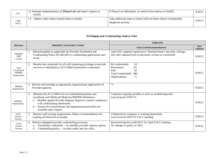| N/A                  | 12. Promote implementation of <b>Threat List</b> individual's photos in<br>OASIS. | 8 Threat List individuals, of which 6 have photos in OASIS.                                  | 9/30/21 |
|----------------------|-----------------------------------------------------------------------------------|----------------------------------------------------------------------------------------------|---------|
| <b>CMH</b><br>Policy | Address other safety-related items as needed.                                     | Take additional steps to ensure staff are better inform of potentially<br>dangerous persons. | 9/30/21 |

#### **Privileging and Credentialing-Andrea Velez**

|                                                              |    |                                                                                                                                                                                                                                                                                                                        | <b>TIMELINE</b>                                                                                                                      |                               |  |  |
|--------------------------------------------------------------|----|------------------------------------------------------------------------------------------------------------------------------------------------------------------------------------------------------------------------------------------------------------------------------------------------------------------------|--------------------------------------------------------------------------------------------------------------------------------------|-------------------------------|--|--|
| <b>Reference</b>                                             |    | PRIORITY GOALS/KEY TASKS                                                                                                                                                                                                                                                                                               | <b>Status (with Recommendations)</b>                                                                                                 | <b>Date</b><br><b>Updated</b> |  |  |
| MDHHS/<br>PIHP<br>contract                                   |    | Maintain/update as applicable the Provider Enrollment and<br>Credentialing Policy (01.003.0011), credentialing applications and<br>forms.                                                                                                                                                                              | April 2021 updated organization "Deemed Status" provider verbiage.<br>July 2021 updated form in electronic version as a trial/draft. | 9/30/21                       |  |  |
| <b>State</b><br>Licensing $&$<br><b>MDHHS</b><br>Requirement |    | Monitor the credentials for all staff requesting privileges to provide<br>services to individuals in SCCCMHA presented to committee.                                                                                                                                                                                   | Re-credentialed:<br>34<br>82<br>Provisional:<br>Full:<br>42<br>Total Credentialed:<br>480<br>71<br>Organizations:                    | 9/30/21                       |  |  |
| <b>MDHHS</b><br>Requirement                                  | 3. | Review and privilege as appropriate organizational applications of<br>Provider agencies.                                                                                                                                                                                                                               | 71                                                                                                                                   | 9/30/21                       |  |  |
| <b>MDHHS</b><br>Requirement                                  | 4. | Maintain the SCCCMHA list of credentialed positions and<br>coordinate with Medicaid Medicare/MDHHS definitions.<br>a. Monthly update Provider Registry Reports to ensure compliance<br>with credentialing timeframes.<br>Ensure list of practitioner and organizational providers are<br>b.<br>available upon request. | Continues ongoing monthly or more as needed/requested.<br>Last reviewed 10/07/21                                                     | 9/30/21                       |  |  |
| Good<br>Clinical<br>Practice                                 | 5. | Monitor staff training requirements. Make recommendations for<br>training and direction as needed.                                                                                                                                                                                                                     | Collaboration continues w/ training department<br>Last reviewed $10/07/21$ P & C meeting.                                            | 9/30/21                       |  |  |
| Good<br>Clinical<br>Practice                                 | 6. | Monitor delegated provider credentialing processes.<br>Practitioner credentials – via monthly provider registry reports.<br>a.<br>Credentialing policy – via desk audits and site visits.<br>b.                                                                                                                        | Reviewed reports on $06/30/21$ for April P & C meeting.<br>No changes to policy in 2021.                                             | 9/30/21                       |  |  |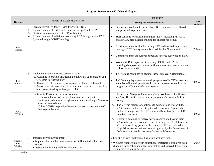# **Program Development-Kathleen Gallagher**

|                         |                                                                                                                                                                                                                  | <b>TIMELINE</b>                                                                                                                                                                                                                                                                                                                 |                               |
|-------------------------|------------------------------------------------------------------------------------------------------------------------------------------------------------------------------------------------------------------|---------------------------------------------------------------------------------------------------------------------------------------------------------------------------------------------------------------------------------------------------------------------------------------------------------------------------------|-------------------------------|
| <b>Reference</b>        | PRIORITY GOALS / KEY TASKS                                                                                                                                                                                       | <b>Status (with Recommendations)</b>                                                                                                                                                                                                                                                                                            | <b>Date</b><br><b>Updated</b> |
|                         | Sustain current Evidence-Based Practices (EBP).<br>2.<br>Expand number of CMH staff trained in an applicable EBP.<br>Continue to monitor current EBP for fidelity.<br>3.                                         | Supervisors continue to ensure that EBP's continue to be offered<br>$\bullet$<br>and provided to person's served.                                                                                                                                                                                                               |                               |
|                         | Expand number of individuals receiving EBP throughout the CMH<br>4.<br>System through CCBHC funding.                                                                                                             | Staff continue to enroll in training for EBP- including PE, CPT,<br>$\bullet$<br>and EMDR. Zero Suicide training for all staff has begun.                                                                                                                                                                                       |                               |
| <b>Best</b><br>Practice |                                                                                                                                                                                                                  | Continue to monitor fidelity through UM reviews and supervisory<br>$\bullet$<br>oversight DBT fidelity review is scheduled for November 21.                                                                                                                                                                                     | 9/30/21                       |
|                         |                                                                                                                                                                                                                  | Continue to increase number of person's served receiving an EBP.<br>$\bullet$                                                                                                                                                                                                                                                   |                               |
|                         |                                                                                                                                                                                                                  | Work with Data department on using LOCUS and CAFAS<br>reporting data to obtain reports on fluctuations in scores in relation<br>with services provided.                                                                                                                                                                         |                               |
|                         | Implement trauma informed system of care.<br>5.<br>a. Continue to provide TIC training to new staff at orientation and                                                                                           | TIC training continues to occur at New Employee Orientation<br>$\bullet$                                                                                                                                                                                                                                                        |                               |
| <b>Best</b><br>Practice | refreshers to existing staff.<br>b. Expand TIC to contract system so all are Trauma Informed.<br>c. Survey current perceptions from staff and those served regarding<br>our current standing with regard to TIC. | TIC /training department to develop a plan to offer TIC to contract<br>$\bullet$<br>agencies Will develop a survey in the next quarter to monitor our<br>progress as a Trauma Informed Agency.                                                                                                                                  | 9/30/21                       |
|                         | Continue to Provide services for Veterans<br>6.<br>Be in compliance with work plan as outlined in grant.<br>a.<br>Continue to advocate at a regional and state level to get Veterans<br>b.                       | Our Veteran Navigator Grant is ongoing . We have met with court<br>a.<br>and VA officials to explore starting a Veteran's Court in St Clair<br>County.                                                                                                                                                                          |                               |
| Grant<br>FY19-20        | access to needed care.<br>Utilize CCBHC to provide Veterans' access to care outside of<br>$c_{\cdot}$<br>their typical benefits.                                                                                 | The Veteran Navigator continues to advocate and link with the<br>c.<br>VA to ensure that recipients get needed services. This has also<br>included linkage with ACCESS, especially with regard to SUD<br>inpatient treatment.                                                                                                   | 9/30/21                       |
|                         |                                                                                                                                                                                                                  | Veteran's continue to receive services above and beyond their<br>d.<br>VA or other private insurance benefit through the CCBHCA new<br>Veteran's Walking group has been started. We have started a<br>Yoga Nidra course that has been recognized by the Department of<br>Defense as a valuable treatment for use with Veterans. |                               |
| Integrated              | <b>Implement Well Environment</b><br>7.<br>• Implement a Healthy Environment for staff and individuals we                                                                                                        | • Carrot App was implemented as a staff wellness tool.                                                                                                                                                                                                                                                                          |                               |
| Care<br>/CCBHC          | support.<br>• Assist in facilitating Wellness Wednesdays.                                                                                                                                                        | • Wellness resource table with educational materials is displayed with<br>changing information monthly. Information is displayed digitally on<br>TVs located in waiting areas.                                                                                                                                                  | 9/30/21                       |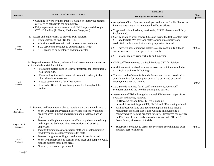|                      |                                                                                                                                                                                                                                | <b>TIMELINE</b>                                                                                                                                                                                                                         |                               |
|----------------------|--------------------------------------------------------------------------------------------------------------------------------------------------------------------------------------------------------------------------------|-----------------------------------------------------------------------------------------------------------------------------------------------------------------------------------------------------------------------------------------|-------------------------------|
| <b>Reference</b>     | PRIORITY GOALS / KEY TASKS                                                                                                                                                                                                     | <b>Status (with Recommendations)</b>                                                                                                                                                                                                    | <b>Date</b><br><b>Updated</b> |
|                      | • Continue to work with the People's Clinic on improving primary<br>care service delivery to the community.<br>• Fully implement the wellness arm of CMH, supported through<br>CCBHC funding (In Shape, Mediation, Yoga, etc.) | • An updated Clinic flyer was developed and put out for distribution to<br>increase participation in integrated healthcare efforts.<br>· Yoga, meditation, in-shape, nutritionist, MSUE classes are all fully                           |                               |
|                      |                                                                                                                                                                                                                                | implemented.                                                                                                                                                                                                                            |                               |
| <b>Best</b>          | 8. Assess and explore EBP to provide SUD services.<br>Train Staff identified EBP for SUD<br>$\bullet$<br>Additional staff to obtain their substance use credential.<br>SUD services to continue to expand agency wide/         | • Staff continue to work toward CE's and taking the test to obtain their<br>SUD credentials. We have one staff working on a supervisory<br>credential -in the event that a backup supervisor is needed.                                 |                               |
| Practice             | SUD groups to be developed and implemented<br>$\bullet$                                                                                                                                                                        | • SUD services have expanded- intake slots are continually full and<br>services are offered in all parts of the county.                                                                                                                 | 9/30/21                       |
|                      |                                                                                                                                                                                                                                | • SUD groups are occurring virtually and in person.                                                                                                                                                                                     |                               |
|                      | 9. To provide state- of the art, evidence based assessment and treatment<br>to individuals at risk for suicide.                                                                                                                | • CMH staff have received the Beck Institute CBT for Suicide.                                                                                                                                                                           |                               |
|                      | Train staff system wide in EBP for treatment for individuals at<br>risk for suicide.                                                                                                                                           | • Additional staff received training on assessing suicide through the<br>Starr Behavioral Health Trainings.                                                                                                                             |                               |
| <b>Best</b>          | Train staff system wide on use of Columbia and applicable<br>$\bullet$<br>clinical tools for treatment.<br>Assess current EBP's for effectiveness                                                                              | • Training on the Columbia Suicide Assessment has occurred and is<br>available online for viewing for any staff that missed or started<br>employment after the training                                                                 | 9/30/21                       |
| Practice             | Research EBP's that may be implemented throughout the<br>$\bullet$<br>system.                                                                                                                                                  | • Zero Suicide trainings for all staff are underway. Core Staff<br>Members attended the two day training this quarter.                                                                                                                  |                               |
|                      |                                                                                                                                                                                                                                | • Assessment of EBP's is ongoing through UM reviews, supervisory<br>oversight and fidelity reviews.<br>• Research for additional EBP's is ongoing.<br>• Additional trainings in CPT, EMDR and PE are being offered.                     |                               |
|                      | 10. Develop and Implement a plan to recruit and maintain quality staff.                                                                                                                                                        | HR has been working on a recruitment plan and have hired a                                                                                                                                                                              |                               |
| Staff<br>Recruitment | Work with HR and Program Supervisors to identify targeted<br>$\bullet$<br>problem areas in hiring and retention and develop an action<br>plan.<br>Develop and implement a plan to offer comprehensive training                 | recruitment specialist. HR is also working on developing a<br>comprehensive training program for staff. . Resources for staff are<br>on File Share 1 in an easily accessible format with "How to"<br>PowerPoints, videos and tutorials. |                               |
| Program Staff        | and support to both new hires in operations and existing                                                                                                                                                                       |                                                                                                                                                                                                                                         |                               |
| Training             | employees.<br>Identify training areas for program staff and develop training<br>$\bullet$<br>modules/online assistance/mentors for staff.                                                                                      | Supervisors continue to assess the system to see what gaps exist<br>$\bullet$<br>and how best to fill them                                                                                                                              | 9/30/21                       |
| Expand               | Develop programs to fill gap need areas of people served.<br>$\bullet$                                                                                                                                                         |                                                                                                                                                                                                                                         |                               |
| Programs             | Work with supervisors to identify need areas and complete work<br>$\bullet$<br>plans to address those need areas.                                                                                                              |                                                                                                                                                                                                                                         |                               |
|                      | Next step to become operational.<br>$\bullet$                                                                                                                                                                                  |                                                                                                                                                                                                                                         |                               |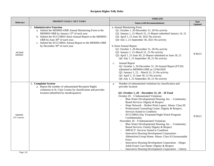# **Recipient Rights-Telly Delor**

|                                    |                                                                                                                                                                                                                                                                                                                                                             | <b>TIMELINE</b>                                                                                                                                                                                                                                                                                                                                                                                                                                                                                                                                                                                                                                                                                                                                                                                                                                                                                                                                                                                     |                               |
|------------------------------------|-------------------------------------------------------------------------------------------------------------------------------------------------------------------------------------------------------------------------------------------------------------------------------------------------------------------------------------------------------------|-----------------------------------------------------------------------------------------------------------------------------------------------------------------------------------------------------------------------------------------------------------------------------------------------------------------------------------------------------------------------------------------------------------------------------------------------------------------------------------------------------------------------------------------------------------------------------------------------------------------------------------------------------------------------------------------------------------------------------------------------------------------------------------------------------------------------------------------------------------------------------------------------------------------------------------------------------------------------------------------------------|-------------------------------|
| Reference                          | <b>PRIORITY GOALS / KEY TASKS</b>                                                                                                                                                                                                                                                                                                                           | <b>Status (with Recommendations)</b>                                                                                                                                                                                                                                                                                                                                                                                                                                                                                                                                                                                                                                                                                                                                                                                                                                                                                                                                                                | <b>Date</b><br><b>Updated</b> |
| MI MHC<br><b>MDHHS</b>             | 1. Administrative Function<br>a. Submit the MDHHS-ORR Annual Monitoring Form to the<br>MDHHS-ORR by January 15 <sup>th</sup> of each year.<br>b. Submit the SCCCMHA Semi-Annual Report to the MDHHS-<br>ORR by June 30 <sup>th</sup> of each year.<br>Submit the SCCCMHA Annual Report to the MDHHS-ORR<br>c.<br>by December 30 <sup>th</sup> of each year. | a. Annual Monitoring Form<br>Q1: October 1, 20-December 31, 20-No activity<br>Q2: January 1, 21-March 31, 21-Report submitted January 14, 21<br>Q3: April 1, 21-June 30, 2021-No activity<br>Q4: July 1, 21-September 30, 2021-No activity<br>b. Semi-Annual Report<br>Q1: October 1, 20-December 31, 20-No activity<br>Q2: January 1, 21-March 31, 21-No activity<br>Q3: April 1, 21-June 30, 21-Report submitted on June 18, 21<br>Q4: July 1, 21-September 30, 21-No activity<br><b>Annual Report</b><br>c.<br>Q1: October 1, 20-December 31, 20-Annual Report (FY20)<br>submitted to MDHHS-ORR on 12/04/2020<br>Q2: January 1, 21, - March 31, 21-No activity<br>Q3: April 1, 21-June 30, 21-No activity<br>Q4: July 1, 21-September 30, 21-No activity                                                                                                                                                                                                                                         | 9/30/21                       |
| <b>MDHHS</b><br><b>GF</b> Contract | 2. Complaint System<br>a. Report the number of substantiated Recipient Rights<br>violations in St. Clair County by classification and provider<br>location (identified by month/quarter).                                                                                                                                                                   | Number of substantiated violations by classification and<br>a.<br>provider location<br>Q1: October 1, 20 - December 31, 20 - 18 Total<br>October $20 - 5$ Substantiated Violations<br>Blue Water Developmental Housing, Inc. - Community<br>Based Services: Dignity & Respect<br>Hope Network - Harbor Point Lapeer: Abuse: Class III<br>Professional Counseling Center: Dignity & Respect;<br>$\overline{\phantom{a}}$<br>Services Suited to Condition<br>SCCCMHA-Day Treatment/Night Watch Program:<br>Confidentiality<br>November $20 - 8$ Substantiated Violations<br>Blue Water Developmental Housing, Inc. - Community<br>Based Services: Family Dignity & Respect<br><b>IMPACT: Services Suited to Condition</b><br>Innovative Housing Development Corporation -<br>Abbottsford Group Home: Abuse: Class II-Unreasonable<br>Force<br>Innovative Housing Development Corporation - Hopps<br>Adult Foster Care Home: Dignity & Respect<br>Innovative Housing Development Corporation - Liberty | 9/30/21                       |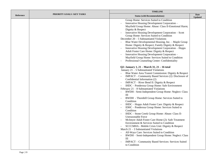|                  |                                   | <b>TIMELINE</b>                                                                                                                                                                                                                                                                                                                                                                                                                                                                                                                                                                                                                                                                                                                                                                                                                                                                                                                                                                                                                                                                                                                                                                                                                                                                                                                                                                                                                                                                                                                                                                                                                                                                                                                                                                                  |                               |  |
|------------------|-----------------------------------|--------------------------------------------------------------------------------------------------------------------------------------------------------------------------------------------------------------------------------------------------------------------------------------------------------------------------------------------------------------------------------------------------------------------------------------------------------------------------------------------------------------------------------------------------------------------------------------------------------------------------------------------------------------------------------------------------------------------------------------------------------------------------------------------------------------------------------------------------------------------------------------------------------------------------------------------------------------------------------------------------------------------------------------------------------------------------------------------------------------------------------------------------------------------------------------------------------------------------------------------------------------------------------------------------------------------------------------------------------------------------------------------------------------------------------------------------------------------------------------------------------------------------------------------------------------------------------------------------------------------------------------------------------------------------------------------------------------------------------------------------------------------------------------------------|-------------------------------|--|
| <b>Reference</b> | <b>PRIORITY GOALS / KEY TASKS</b> | <b>Status (with Recommendations)</b>                                                                                                                                                                                                                                                                                                                                                                                                                                                                                                                                                                                                                                                                                                                                                                                                                                                                                                                                                                                                                                                                                                                                                                                                                                                                                                                                                                                                                                                                                                                                                                                                                                                                                                                                                             | <b>Date</b><br><b>Updated</b> |  |
|                  |                                   | Group Home: Services Suited to Condition<br>Innovative Housing Development Corporation -<br>Mayfield Group Home: Abuse: Class II-Emotional Harm;<br>Dignity & Respect<br>Innovative Housing Development Corporation - Scott<br>Group Home: Services Suited to Condition<br>December $20 - 5$ Substantiated Violations<br>Blue Water Developmental Housing, Inc. - Maple Group<br>Home: Dignity & Respect; Family Dignity & Respect<br>Innovative Housing Development Corporation - Hopps<br>Adult Foster Care Home: Dignity & Respect<br>Innovative Housing Development Corporation -<br>Mayfield Group Home: Services Suited to Condition<br>Professional Counseling Center: Confidentiality<br>Q2: January 1, 21 - March 31, 21 - 16 total<br>January 21 – 5 Substantiated Violations<br>Blue Water Area Transit Commission: Dignity & Respect<br>IMPACT – Community Based Services (2): Disclosure of<br>Confidential Information (2)<br>IMPACT - River Bend II: Dignity & Respect<br>IHDC - Ponderosa Group Home: Safe Environment<br>February $21 - 8$ Substantiated Violations<br>BWDH - Semi-Independent Group Home: Neglect: Class<br>Ш<br>BWDH - Thornhill Group Home: Services Suited to<br>Condition<br>IHDC – Hopps Adult Foster Care: Dignity & Respect<br>IDHC - Ponderosa Group Home: Services Suited to<br>Condition<br>IHDC - Stone Creek Group Home: Abuse: Class II-<br>Unreasonable Force<br>McIntyre Adult Foster Care Home (2): Safe Treatment<br>Environment & Services Suited to Condition<br>SCCCMHA - Mobile Crisis Unit: Dignity & Respect<br>March $21 - 3$ Substantiated Violations<br>All-Ways Care: Services Suited to Condition<br>BWDH - Semi-Independent Group Home: Neglect: Class<br>Ш<br>IMPACT - Community Based Services: Services Suited<br>to Condition |                               |  |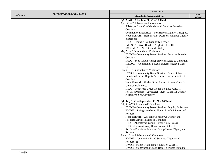|                  |                                   | <b>TIMELINE</b>                                                                                                                                                                                                                                                                                                                                                                                                                                                                                                                                                                                                                                                                                                                                                                                                                                                                                                                                                                                                                                     |                               |
|------------------|-----------------------------------|-----------------------------------------------------------------------------------------------------------------------------------------------------------------------------------------------------------------------------------------------------------------------------------------------------------------------------------------------------------------------------------------------------------------------------------------------------------------------------------------------------------------------------------------------------------------------------------------------------------------------------------------------------------------------------------------------------------------------------------------------------------------------------------------------------------------------------------------------------------------------------------------------------------------------------------------------------------------------------------------------------------------------------------------------------|-------------------------------|
| <b>Reference</b> | <b>PRIORITY GOALS / KEY TASKS</b> | <b>Status (with Recommendations)</b>                                                                                                                                                                                                                                                                                                                                                                                                                                                                                                                                                                                                                                                                                                                                                                                                                                                                                                                                                                                                                | <b>Date</b><br><b>Updated</b> |
|                  |                                   | Q3: April 1, 21 - June 30, 21 - 18 Total<br>April $21 - 7$ Substantiated Violations<br>All-Ways Care: Confidentiality & Services Suited to<br>Condition<br>Community Enterprises – Port Huron: Dignity & Respect<br>Hope Network - Harbor Point Dearborn Heights: Dignity<br>& Respect<br>$IHDC - Hopps AFC: Dignity & Respect$<br>IMPACT - River Bend II: Neglect: Class III<br>SCCCMHA - ACT: Confidentiality<br>May $21 - 3$ Substantiated Violations<br>BWDH - Community Based Services: Services Suited to<br>Condition<br>IHDC - Scott Group Home: Services Suited to Condition<br>IMPACT - Community Based Services: Neglect: Class<br>Ш<br>June $21 - 8$ Substantiated Violations<br>BWDH - Community Based Services: Abuse: Class II-<br>Emotional Harm; Dignity & Respect; Services Suited to<br>Condition<br>Hope Network - Harbor Point Lapeer: Abuse: Class II-<br><b>Unreasonable Force</b><br>IHDC - Ponderosa Group Home: Neglect: Class III<br>ResCare Premier - Lawndale: Abuse: Class III; Dignity<br>& Respect; Confidentiality |                               |
|                  |                                   | Q4: July 1, 21 – September 30, 21 – 16 Total<br>July 21 - 7 Substantiated Violations<br>BWDH - Community Based Services: Dignity & Respect<br>BWDH - Springborn Group Home: Family Dignity and<br>Respect<br>Hope Network - Westlake Cottage #2: Dignity and<br>Respect; Services Suited to Condition<br>IHDC - Abbottsford Group Home: Abuse: Class III<br>IHDC - Lincoln Group Home: Abuse: Class III<br>ResCare Premier - Raymond Group Home: Dignity and<br>Respect<br>August $21 - 5$ Substantiated Violations<br><b>BWDH</b> - Community Based Services: Dignity and<br>Respect $(2)$<br>BWDH - Maple Group Home: Neglect: Class III<br>BWDH - Stoneybrook Group Home: Services Suited to                                                                                                                                                                                                                                                                                                                                                     |                               |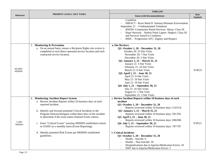|                             |                                                                                                                                                                                                                                                                                                                                                                                                                                                                                                                  | <b>TIMELINE</b>                                                                                                                                                                                                                                                                                                                                                                                                                                                                                                                                                                                                                                                             |                               |
|-----------------------------|------------------------------------------------------------------------------------------------------------------------------------------------------------------------------------------------------------------------------------------------------------------------------------------------------------------------------------------------------------------------------------------------------------------------------------------------------------------------------------------------------------------|-----------------------------------------------------------------------------------------------------------------------------------------------------------------------------------------------------------------------------------------------------------------------------------------------------------------------------------------------------------------------------------------------------------------------------------------------------------------------------------------------------------------------------------------------------------------------------------------------------------------------------------------------------------------------------|-------------------------------|
| <b>Reference</b>            | <b>PRIORITY GOALS / KEY TASKS</b>                                                                                                                                                                                                                                                                                                                                                                                                                                                                                | <b>Status (with Recommendations)</b>                                                                                                                                                                                                                                                                                                                                                                                                                                                                                                                                                                                                                                        | <b>Date</b><br><b>Updated</b> |
|                             |                                                                                                                                                                                                                                                                                                                                                                                                                                                                                                                  | Condition<br>IMPACT - River Bend II: Sanitary/Humane Environment<br>September $21 - 4$ Substantiated Violations<br>BWDH -Community Based Services: Abuse: Class III<br>Hope Network - Harbor Point Lapeer: Neglect: Class III<br>and Services Suited to Condition<br>IHDC – Progression AFC: Dignity and Respect                                                                                                                                                                                                                                                                                                                                                            |                               |
| MI MHC<br><b>MDHHS</b>      | 3. Monitoring & Prevention<br>a. On an annual basis, ensure a Recipient Rights site review is<br>completed at each direct-operated service location and each<br>contracted service location.                                                                                                                                                                                                                                                                                                                     | a. Site Reviews<br>Q1: October 1, 20 - December 31, 20<br>October 20: 23 Site Visits<br>November 20: 7 Site Visits<br>December 20: 3 Site Visits<br>Q2: January 1, 21 – March 31, 21<br>January 21: 3 Site Visits<br>February 21: 24 Site Visits<br>March 21: 6 Site Visits<br>Q3: April 1, 21 - June 30, 21<br>April 21: 8 Site Visits<br>May 21: 10 Site Visits<br>June 21: 10 Site Visits<br>Q4: July 1, 21 - September 30, 21<br>July 21: 16 Site Visits<br>August 21: 1 Site Visit<br>September 21: 3 Site Visits                                                                                                                                                      | 9/30/21                       |
| <b>CARF</b><br><b>MDHHS</b> | 4. Monitoring: Incident Report System<br>a. Review Incident Reports within 10 business days of each<br>reported incident.<br>b. Identify and forward potential Critical Incidents to the<br>Program Director/designee within three days of the incident<br>to determine if the event meets Sentinel Event criteria.<br>c. Enter "Critical Events" meeting MDHHS established criteria<br>in OASIS on a monthly basis (Event Reporting).<br>d. Identify potential Risk Events per MDHHS established<br>guidelines. | a. Review Incident Reports within 10 business days of each<br>incident<br>Q1: October 1, 20 - December 31, 20<br>Reports reviewed within 10 business days: 514/514<br>Q2: January 1, 21 - March 31, 21<br>Reports reviewed within 10 business days: 591/591<br>Q3: April 1, 21 - June 30, 21<br>Reports reviewed within 10 business days: 696/696<br>Q4: July 1, 21 - September 30, 21<br>Reports reviewed within 10 business days: 787/787<br><b>b.</b> Critical Incidents<br>Q1: October 1, 20 - December 31, 20<br>Deaths - Suicide: 0<br>Deaths - Non-Suicide: 18<br>Hospitalizations due to Injuries/Medication Errors: 10<br>EMT due to Injuries/Medication Errors: 2 | 9/30/21                       |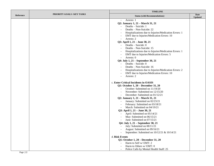|                  |                            | <b>TIMELINE</b>                                                                                                                                                                                                                                                                                                                                                                                                                                                                                                                                                                                                                                                                                                                                                                                                                                                                                                                                                                                                                                                                                                                                                                                                                                                                                                                                                                                                                      |                               |  |
|------------------|----------------------------|--------------------------------------------------------------------------------------------------------------------------------------------------------------------------------------------------------------------------------------------------------------------------------------------------------------------------------------------------------------------------------------------------------------------------------------------------------------------------------------------------------------------------------------------------------------------------------------------------------------------------------------------------------------------------------------------------------------------------------------------------------------------------------------------------------------------------------------------------------------------------------------------------------------------------------------------------------------------------------------------------------------------------------------------------------------------------------------------------------------------------------------------------------------------------------------------------------------------------------------------------------------------------------------------------------------------------------------------------------------------------------------------------------------------------------------|-------------------------------|--|
| <b>Reference</b> | PRIORITY GOALS / KEY TASKS | <b>Status (with Recommendations)</b>                                                                                                                                                                                                                                                                                                                                                                                                                                                                                                                                                                                                                                                                                                                                                                                                                                                                                                                                                                                                                                                                                                                                                                                                                                                                                                                                                                                                 | <b>Date</b><br><b>Updated</b> |  |
|                  |                            | Arrests: 1<br>$\sim$<br>Q2: January 1, 21 - March 31, 21<br>Deaths - Suicide: 1<br>Deaths – Non-Suicide: 22<br>Hospitalizations due to Injuries/Medication Errors: 1<br>EMT due to Injuries/Medication Errors: 10<br>Arrests: 2<br>Q3: April 1, 21 - June 30, 21<br>Deaths - Suicide: 0<br>$\equiv$<br>Deaths - Non-Suicide: 15<br>Hospitalizations due to Injuries/Medication Errors: 1<br>EMT due to Injuries/Medication Errors: 5<br>$\overline{\phantom{a}}$<br>Arrests: 0<br>Q4: July 1, 21 - September 30, 21<br>Deaths - Suicide: 0<br>Deaths – Non-Suicide: 16<br>Hospitalizations due to Injuries/Medication Errors: 2<br>EMT due to Injuries/Medication Errors: 10<br>$\overline{a}$<br>Arrests: 2<br>c. Enter Critical Incidents in OASIS<br>Q1: October 1, 20 - December 31, 20<br>October: Submitted on 11/19/20<br>$\sim$<br>November: Submitted on 12/15/20<br>$\blacksquare$<br>December: Submitted on 01/12/21<br>$\sim$<br>Q2: January 1, 21 - March 31, 21<br>January: Submitted on 02/23/21<br>$\blacksquare$<br>February: Submitted on 03/18/21<br>March: Submitted on 04/19/21<br>Q3: April 1, 21 - June 30, 21<br>April: Submitted on 05/14/21<br>May: Submitted on 06/15/21<br>June: Submitted on 07/15/21<br>Q4: July 1, 21 - September 30, 21<br>July: Submitted on 08/11/21<br>$\overline{\phantom{a}}$<br>August: Submitted on 09/16/21<br>September: Submitted on 10/12/21 & 10/14/21<br>$\overline{a}$ |                               |  |
|                  |                            | d. Risk Events<br>Q1: October 1, 20 - December 31, 20<br>Harm to Self w/ EMT: 2<br>Harm to Others w/ EMT: 0                                                                                                                                                                                                                                                                                                                                                                                                                                                                                                                                                                                                                                                                                                                                                                                                                                                                                                                                                                                                                                                                                                                                                                                                                                                                                                                          |                               |  |
|                  |                            | Police Calls by Mental Health Staff: 25<br>$\sim$                                                                                                                                                                                                                                                                                                                                                                                                                                                                                                                                                                                                                                                                                                                                                                                                                                                                                                                                                                                                                                                                                                                                                                                                                                                                                                                                                                                    |                               |  |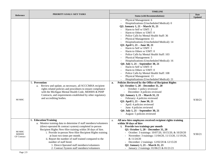|                                              |                                                                                                                                                                                                                                                                                                                                                                                                                                                                                                   | <b>TIMELINE</b>                                                                                                                                                                                                                                                                                                                                                                                                                                                                                                                                                                                                                                                                                                  |                               |  |
|----------------------------------------------|---------------------------------------------------------------------------------------------------------------------------------------------------------------------------------------------------------------------------------------------------------------------------------------------------------------------------------------------------------------------------------------------------------------------------------------------------------------------------------------------------|------------------------------------------------------------------------------------------------------------------------------------------------------------------------------------------------------------------------------------------------------------------------------------------------------------------------------------------------------------------------------------------------------------------------------------------------------------------------------------------------------------------------------------------------------------------------------------------------------------------------------------------------------------------------------------------------------------------|-------------------------------|--|
| Reference                                    | <b>PRIORITY GOALS / KEY TASKS</b>                                                                                                                                                                                                                                                                                                                                                                                                                                                                 | <b>Status (with Recommendations)</b>                                                                                                                                                                                                                                                                                                                                                                                                                                                                                                                                                                                                                                                                             | <b>Date</b><br><b>Updated</b> |  |
|                                              |                                                                                                                                                                                                                                                                                                                                                                                                                                                                                                   | Physical Management: 6<br>Hospitalizations (Unscheduled Medical): 0<br>Q2: January 1, 21 - March 31, 21<br>Harm to Self w/ EMT: 2<br>Harm to Others $w/$ EMT: 0<br>Police Calls by Mental Health Staff: 36<br>Physical Management: 13<br>Hospitalizations (Unscheduled Medical): 14<br>Q3: April 1, 21 - June 30, 21<br>Harm to Self w/ EMT: 1<br>Harm to Others w/ EMT: 0<br>Police Calls by Mental Health Staff: 103<br>Physical Management: 5<br>Hospitalizations (Unscheduled Medical): 16<br>Q4: July 1, 21 - September 30, 21<br>Harm to Self w/ EMT: 0<br>Harm to Others $w/$ EMT: 0<br>Police Calls by Mental Health Staff: 108<br>Physical Management: 13<br>Hospitalizations (Unscheduled Medical): 21 |                               |  |
| MI MHC                                       | 5. Prevention<br>a. Review and update, as necessary, all SCCCMHA recipient<br>rights related policies and procedures to ensure compliance<br>with the Michigan Mental Health Code, MDHHS & PIHP<br>Contracts, and requirements established by other regulatory<br>and accrediting bodies.                                                                                                                                                                                                         | Policies Reviewed by the Office of Recipient Rights<br>a.<br>Q1: October 1, 20 - December 31, 20<br>October: 1 policy reviewed<br>December: 4 policies reviewed<br>Q2: January 1, 21 - March 31, 21<br>February: 4 policies reviewed<br>Q3: April 1, 21 - June 30, 21<br>April: 4 policies reviewed<br>June: 4 policies reviewed<br>Q4: July 1, 21 - September 30, 21<br>August: 5 policies reviewed                                                                                                                                                                                                                                                                                                             | 9/30/21                       |  |
| MI MHC<br><b>MDHHS</b><br><b>GF</b> Contract | 6. Education/Training<br>a. Monitor training data to determine if staff members/volunteers<br>(direct-operated & contract system) completed in-person<br>Recipient Rights New-Hire training within 30 days of hire.<br>i. Provide in-person New-Hire Recipient Rights training<br>at least two times per month.<br>ii. Report the number of staff trained compared to the<br>number of staff hired.<br>1. Direct-Operated staff members/volunteers<br>2. Contract System staff members/volunteers | All new-hire employees received recipient rights training<br>a.<br>within 30 days of hire<br>i. Provide two trainings per month<br>Q1: October 1, 20 - December 31, 20<br>- October: 3 trainings: 10/07/20, 10/15/20, & 10/20/20<br>November: 3 trainings: 11/04/20, 11/13/20, 11/19/20,<br>& 11/24/20<br>- December: 2 trainings: 12/02/20 & 12/15/20<br>Q2: January 1, 21 - March 31, 21<br>- January: 2 trainings: 01/06/21 & 01/21/21                                                                                                                                                                                                                                                                        | 9/30/21                       |  |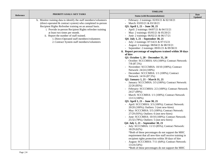|           |                                                                                                                                                                                                                                                                                                                                                                                                                                     | <b>TIMELINE</b>                                                                                                                                                                                                                                                                                                                                                                                                                                                                                                                                                                                                                                                                                                                                                                                                                                                                                                                                                                                                                                                                                                                                                                                                                                                                                                                                                                                                                                                                                                                                                                                                                                                                                                             |                               |
|-----------|-------------------------------------------------------------------------------------------------------------------------------------------------------------------------------------------------------------------------------------------------------------------------------------------------------------------------------------------------------------------------------------------------------------------------------------|-----------------------------------------------------------------------------------------------------------------------------------------------------------------------------------------------------------------------------------------------------------------------------------------------------------------------------------------------------------------------------------------------------------------------------------------------------------------------------------------------------------------------------------------------------------------------------------------------------------------------------------------------------------------------------------------------------------------------------------------------------------------------------------------------------------------------------------------------------------------------------------------------------------------------------------------------------------------------------------------------------------------------------------------------------------------------------------------------------------------------------------------------------------------------------------------------------------------------------------------------------------------------------------------------------------------------------------------------------------------------------------------------------------------------------------------------------------------------------------------------------------------------------------------------------------------------------------------------------------------------------------------------------------------------------------------------------------------------------|-------------------------------|
| Reference | <b>PRIORITY GOALS / KEY TASKS</b>                                                                                                                                                                                                                                                                                                                                                                                                   | <b>Status (with Recommendations)</b>                                                                                                                                                                                                                                                                                                                                                                                                                                                                                                                                                                                                                                                                                                                                                                                                                                                                                                                                                                                                                                                                                                                                                                                                                                                                                                                                                                                                                                                                                                                                                                                                                                                                                        | <b>Date</b><br><b>Updated</b> |
|           | b. Monitor training data to identify the staff members/volunteers<br>(direct-operated $&$ contract system) who completed in-person<br>Recipient Rights Refresher training on an annual basis.<br>i. Provide in-person Recipient Rights refresher training<br>at least two times per month.<br>ii. Report the number of staff trained.<br>1. Direct-Operated staff members/volunteers<br>2. Contract System staff members/volunteers | - February: 2 trainings: 02/03/21 & 02/18/21<br>March: 03/03/21 & 03/18/21<br>Q3: April 1, 21 - June 30, 21<br>April: 2 trainings: 04/07/21 & 04/15/21<br>May: 2 trainings: 05/05/21 & 05/20/21<br>June: 2 trainings: 06/02/21 & 06/17/21<br>Q4: July 1, 21 – September 30, 21<br>July: 2 trainings: 07/14/21 & 07/15/21<br>August: 2 trainings: 08/04/21 & 08/19/21<br>September: 2 trainings: 09/01/21 & 09/30/21<br>ii. Report percentage of employees trained within 30 days<br>of hire<br>Q1: October $1, 20$ – December 31, 20<br>- October: SCCCMHA: 6/6 (100%); Contract Network:<br>$7/8$ (87.5%)<br>November: SCCCMHA: 10/10 (100%); Contract<br>Network: 24/24 (100%)<br>December: SCCCMHA: 1/1 (100%); Contract<br>Network: 14/16 (87.5%)<br>Q2: January 1, 21 – March 31, 21<br>January: SCCCMHA: 3/3 (100%); Contract Network:<br>22/26 (85%)<br>February: SCCCMHA: 2/2 (100%); Contract Network:<br>24/27 (89%)<br>March: SCCCMHA: 1/1 (100%); Contract Network<br>$13/13(100\%)$<br>Q3: April 1, 21 – June 30, 21<br>- April: SCCCMHA: 3/3 (100%); Contract Network:<br>20/20 (100%); Outliers: 3 (not new-hires)<br>May: SCCCMHA: 5/5 (100%); Contract Network:<br>27/29 (93%); Outliers: 6 (not new-hires)<br>June: SCCCMHA: 10/10 (100%); Contract Network:<br>25/32 (78%); Outliers: 5 (not new-hires)<br>Q4: July 1, 21 – September 30, 21<br>July: SCCCMHA: 11/13 (85%); Contract Network:<br>18/29 (62%)<br>*Both of these percentages do not support the MHC<br>requirement that all new-hire staff receive training in<br>recipient rights protection within 30 days of hire<br>August: SCCCMHA: 7/11 (64%); Contract Network:<br>13/24 (54%)<br>*Both of these percentages do not support the MHC |                               |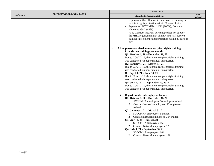|                  |                            | <b>TIMELINE</b>                                                                                                                                                                                                                                                                                                                                                                                                                                                                                                                                                                                                                                                                                         |                               |
|------------------|----------------------------|---------------------------------------------------------------------------------------------------------------------------------------------------------------------------------------------------------------------------------------------------------------------------------------------------------------------------------------------------------------------------------------------------------------------------------------------------------------------------------------------------------------------------------------------------------------------------------------------------------------------------------------------------------------------------------------------------------|-------------------------------|
| <b>Reference</b> | PRIORITY GOALS / KEY TASKS | <b>Status (with Recommendations)</b>                                                                                                                                                                                                                                                                                                                                                                                                                                                                                                                                                                                                                                                                    | <b>Date</b><br><b>Updated</b> |
|                  |                            | requirement that all new-hire staff receive training in<br>recipient rights protection within 30 days of hire<br>September: SCCCMHA: 11/11 (100%); Contract<br>Network: 35/42 (83%)<br>*The Contract Network percentage does not support<br>the MHC requirement that all new-hire staff receive<br>training in recipient rights protection within 30 days of<br>hire                                                                                                                                                                                                                                                                                                                                    |                               |
|                  |                            | All employees received annual recipient rights training<br>$\mathbf b$ .<br>i. Provide two trainings per month<br>Q1: October 1, 20 - December 31, 20<br>Due to COVID-19, the annual recipient rights training<br>was conducted via paper manual this quarter.<br>Q2: January 1, 21 - March 31, 21<br>Due to COVID-19, the annual recipient rights training<br>was conducted via paper manual this quarter.<br>Q3: April 1, 21 - June 30, 21<br>Due to COVID-19, the annual recipient rights training<br>was conducted via paper manual this quarter.<br>Q4: July 1, 2021 – September 30, 2021<br>Due to COVID-19, the annual recipient rights training<br>was conducted via paper manual this quarter. |                               |
|                  |                            | Report number of employees trained<br>ii.<br>Q1: October 1, 20 - December 31, 20<br>1. SCCCMHA employees: 5 employees trained<br>2. Contract Network employees: 96 employees<br>trained<br>Q2: January 1, 21 - March 31, 21<br>1. SCCCMHA employees: 5 trained<br>2. Contract Network employees: 304 trained<br>Q3: April 1, 21 – June 30, 21<br>1. SCCCMHA employees: 160<br>2. Contract Network employees: 128<br>Q4: July 1, 21 – September 30, 21<br>1. SCCCMHA employees: 184                                                                                                                                                                                                                      |                               |
|                  |                            | 2. Contract Network employees: 161                                                                                                                                                                                                                                                                                                                                                                                                                                                                                                                                                                                                                                                                      |                               |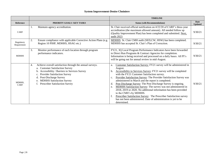#### **System Improvement-Denise Choiniere**

|                           |                                                                                                                                                                                                                                                                                 | <b>TIMELINE</b>                                                                                                                                                                                                                                                                                                                                                                                                                                                                                                                                                                                                                                                                                                                               |                        |
|---------------------------|---------------------------------------------------------------------------------------------------------------------------------------------------------------------------------------------------------------------------------------------------------------------------------|-----------------------------------------------------------------------------------------------------------------------------------------------------------------------------------------------------------------------------------------------------------------------------------------------------------------------------------------------------------------------------------------------------------------------------------------------------------------------------------------------------------------------------------------------------------------------------------------------------------------------------------------------------------------------------------------------------------------------------------------------|------------------------|
| <b>Reference</b>          | PRIORITY GOALS / KEY TASKS                                                                                                                                                                                                                                                      | <b>Status (with Recommendations)</b>                                                                                                                                                                                                                                                                                                                                                                                                                                                                                                                                                                                                                                                                                                          | Date<br><b>Updated</b> |
| CARF                      | Maintain agency accreditation.<br>1.                                                                                                                                                                                                                                            | St. Clair received official notification on 4/22/20 of CARF's three-year<br>accreditation (the maximum allowed amount). All needed follow up<br>(Quality Improvement Plan) has been completed and submitted. Next,<br>audit 2023.                                                                                                                                                                                                                                                                                                                                                                                                                                                                                                             | 9/30/21                |
| Regulatory<br>Requirement | 2.<br>Ensure compliance with applicable Corrective Action Plans (e.g.<br>Region 10 PIHP, MDHHS, HSAG etc.)                                                                                                                                                                      | MDHHS St. Clair CMH audit (SED,CW, HSW) has been completed.<br>MDHHS has accepted St. Clair's Plan of Correction.                                                                                                                                                                                                                                                                                                                                                                                                                                                                                                                                                                                                                             | 9/30/21                |
| <b>MDHHS</b>              | 3.<br>Monitor performance of each location through program<br>performance indicators.                                                                                                                                                                                           | FY21, 3Q Local Program Performance Indicators have been forwarded<br>to Direct Run Programs & Contract Agencies for completion.<br>Information is being received and processed on a daily bases. All PI's<br>will be going out for annual review in mid-August.                                                                                                                                                                                                                                                                                                                                                                                                                                                                               | 9/30/21                |
| MDHHS.<br>CARF            | Achieve overall satisfaction through the annual surveys.<br>4.<br>a. Customer Satisfaction Survey<br>Accessibility / Barriers to Services Survey<br>Provider Satisfaction Survey<br>Post-Discharge Survey<br><b>MDHHS Satisfaction Survey</b><br>Prescriber Satisfaction Survey | Customer Satisfaction Survey: FY21 survey will be administered in<br>a.<br>August.<br>Accessibility to Services Survey: FY21 survey will be completed<br>b.<br>with the FY21 Customer Satisfaction survey.<br>Provider Satisfaction Survey: The Provider Satisfaction Survey was<br>c.<br>administered in March and the report is completed.<br>Post Discharge Survey: The Post Discharge Survey is ongoing.<br>d.<br>MDHHS Satisfaction Survey: The survey was not administered in<br>e.<br>2018, 2019 or 2020. No additional information has been provided<br>to the CMH's by MDHHS.<br>Prescriber Satisfaction Survey: The Prescriber Satisfaction survey<br>has not been administered. Date of administration is yet to be<br>determined. | 9/30/21                |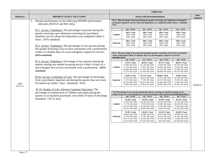|                         |                                                                                                                                                                                                                                                                                                                                                                                                                                                                                                                                                                                                                                                                                              |                                                                                                                                                                                          |                                                                                                                                                   |                                                                                                                                                                                                                                                                                                                                                                                                                                                                                                                                       | <b>TIMELINE</b>                                                                                                                                   |                                                                                                                                                   |                |
|-------------------------|----------------------------------------------------------------------------------------------------------------------------------------------------------------------------------------------------------------------------------------------------------------------------------------------------------------------------------------------------------------------------------------------------------------------------------------------------------------------------------------------------------------------------------------------------------------------------------------------------------------------------------------------------------------------------------------------|------------------------------------------------------------------------------------------------------------------------------------------------------------------------------------------|---------------------------------------------------------------------------------------------------------------------------------------------------|---------------------------------------------------------------------------------------------------------------------------------------------------------------------------------------------------------------------------------------------------------------------------------------------------------------------------------------------------------------------------------------------------------------------------------------------------------------------------------------------------------------------------------------|---------------------------------------------------------------------------------------------------------------------------------------------------|---------------------------------------------------------------------------------------------------------------------------------------------------|----------------|
| Reference               | PRIORITY GOALS / KEY TASKS                                                                                                                                                                                                                                                                                                                                                                                                                                                                                                                                                                                                                                                                   |                                                                                                                                                                                          |                                                                                                                                                   | <b>Status (with Recommendations)</b>                                                                                                                                                                                                                                                                                                                                                                                                                                                                                                  |                                                                                                                                                   |                                                                                                                                                   | Date           |
|                         | 5. Monitor performance on the following MDHHS performance<br>indicators (MA/GF and MA only).<br>PI 1. Access: Timeliness: The percentage of persons during the<br>quarter receiving a pre-admission screening for psychiatric<br>inpatient care for whom the disposition was completed within 3<br>hours. (95% standard)<br>PI 2. Access: Timeliness: The percentage of new persons during<br>the quarter receiving a face-to-face assessment with a professional<br>within 14 calendar days of a non-emergency request for service.<br>(95% standard)<br>PI 3. Access: Timeliness: Percentage of new persons during the<br>quarter starting any needed on-going service within 14 days of a | 95%<br><b>CMHSP</b><br>Medicaid<br>(Standard: 95%)                                                                                                                                       | $Q4 - FY20$<br>100% Total<br>100% Child<br>100% Adult<br>100% Total<br>100% Child<br>100% Adult<br>$O4 - FY20$<br>73.91% Total<br>75.00% MI Child | PI 1) The percentage of persons during the quarter receiving a pre-admission screening for<br>psychiatric inpatient care for whom the disposition was completed within 3 hours. (Standard:<br>$Q1 - FY21$<br>100% Total<br>100% Child<br>100% Adult<br>100% Total<br>100% Child<br>100% Adult<br>PI 2) The percentage of new persons during the quarter receiving a face-to-face assessment<br>with a professional within 14 calendar days of a non-emergency request for services.<br>$Q1 - FY21$<br>80.43% Total<br>82.14% MI Child | $Q2 - FY21$<br>100% Total<br>100% Child<br>100% Adult<br>100% Total<br>100% Child<br>100% Adult<br>$Q2 - FY21$<br>81.37% Total<br>76.28% MI Child | $Q3 - FY21$<br>100% Total<br>100% Child<br>100% Adult<br>100% Total<br>100% Child<br>100% Adult<br>$O3 - FY21$<br>80.04% Total<br>82.26% MI Child | <b>Updated</b> |
|                         | non-emergent face-to-face assessment with a professional. (95%<br>standard)                                                                                                                                                                                                                                                                                                                                                                                                                                                                                                                                                                                                                  | <b>CMHSP</b>                                                                                                                                                                             | 72.15% MI Adult<br>82.98% DD Child<br>72.73% DD Adult                                                                                             | 77.92% MI Adult<br>87.10% DD Child<br>92.59% DD Adult                                                                                                                                                                                                                                                                                                                                                                                                                                                                                 | 83.06% MI Adult<br>83.33% DD Child<br>88.89% DD Adult                                                                                             | 79.63% MI Adult<br>70.59% DD Child<br>89.47% DD Adult                                                                                             |                |
| <b>HHS</b><br>P.6.5.1.1 | PI 4a. Access: Continuity of Care: The percentage of discharges<br>from a psychiatric inpatient unit during the quarter that were seen<br>for follow-up within 7 days. (Standard: 95%)<br>PI 10. Quality of Life: Adverse Customer Outcomes: The<br>percentage of readmissions of children and adults during the<br>quarter to an inpatient psychiatric unit within 30 days of discharge.<br>(Standard: 15% or less)                                                                                                                                                                                                                                                                         | Medicaid                                                                                                                                                                                 | 75.69% Total<br>79.61% MI Child<br>71.37% MI Adult<br>90.70% DD Child<br>73.68% DD Adult                                                          | 79.77% Total<br>80.65% MI Child<br>77.39% MI Adult<br>86.67% DD Child<br>92.00% DD Adult                                                                                                                                                                                                                                                                                                                                                                                                                                              | 80.86% Total<br>76.81% MI Child<br>82.11% MI Adult<br>82.86% DD Child<br>88.00% DD Adult                                                          | 79.90% Total<br>83.18% MI Child<br>78.54% MI Adult<br>71.88% DD Child<br>94.44% DD Adult                                                          | 9/30/21        |
|                         |                                                                                                                                                                                                                                                                                                                                                                                                                                                                                                                                                                                                                                                                                              | PI 3) Percentage of new persons during the quarter starting any needed on-going service<br>within 14 days of a non-emergent face to face assessment with a professional. (Standard: 95%) |                                                                                                                                                   |                                                                                                                                                                                                                                                                                                                                                                                                                                                                                                                                       |                                                                                                                                                   |                                                                                                                                                   |                |
|                         |                                                                                                                                                                                                                                                                                                                                                                                                                                                                                                                                                                                                                                                                                              | <b>CMHSP</b>                                                                                                                                                                             | $Q4 - FY20$<br>78.38% Total<br>87.50% MI Child<br>72.73% MI Adult<br>86.11% DD Child<br>93.33% DD Adult                                           | $Q1 - FY21$<br>83.50% Total<br>89.19% MI Child<br>79.91% MI Adult<br>85.29% DD Child<br>88.46% DD Adult                                                                                                                                                                                                                                                                                                                                                                                                                               | $Q2 - FY21$<br>84.39% Total<br>84.55% MI Child<br>83.00% MI Adult<br>82.76% DD Child<br>100% DD Adult                                             | $Q3 - FY21$<br>81.41% Total<br>85.71% MI Child<br>80.48% MI Adult<br>75.00% DD Child<br>82.35% DD Adult                                           |                |
|                         |                                                                                                                                                                                                                                                                                                                                                                                                                                                                                                                                                                                                                                                                                              | Medicaid                                                                                                                                                                                 | 78.78% Total<br>86.90% MI Child<br>72.47% MI Adult<br>86.11% DD Child<br>92.31% DD Adult                                                          | 82.44% Total<br>87.88% MI Child<br>78.79% MI Adult<br>84.38% DD Child<br>87.50% DD Adult                                                                                                                                                                                                                                                                                                                                                                                                                                              | 84.33% Total<br>83.67% MI Child<br>83.25% MI Adult<br>82.14% DD Child<br>100% DD Adult                                                            | 82.04% Total<br>84.88% MI Child<br>81.91% MI Adult<br>75.00% DD Child<br>82.35% DD Adult                                                          |                |
|                         |                                                                                                                                                                                                                                                                                                                                                                                                                                                                                                                                                                                                                                                                                              |                                                                                                                                                                                          |                                                                                                                                                   |                                                                                                                                                                                                                                                                                                                                                                                                                                                                                                                                       |                                                                                                                                                   |                                                                                                                                                   |                |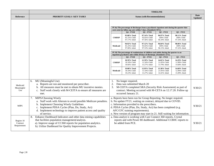|                                      |                                                                                                                                                                                                                                                                              | <b>TIMELINE</b>                      |                                                                                                                                                                                                                                                                                        |                                              |                                              |                                                                           |         |
|--------------------------------------|------------------------------------------------------------------------------------------------------------------------------------------------------------------------------------------------------------------------------------------------------------------------------|--------------------------------------|----------------------------------------------------------------------------------------------------------------------------------------------------------------------------------------------------------------------------------------------------------------------------------------|----------------------------------------------|----------------------------------------------|---------------------------------------------------------------------------|---------|
| <b>Reference</b>                     | <b>PRIORITY GOALS / KEY TASKS</b>                                                                                                                                                                                                                                            | <b>Status (with Recommendations)</b> |                                                                                                                                                                                                                                                                                        |                                              |                                              | Date<br><b>Updated</b>                                                    |         |
|                                      |                                                                                                                                                                                                                                                                              |                                      | PI 4a) The percentage of discharges from a psychiatric inpatient unit during the quarter that<br>were seen for follow up care within 7 days. (Standard: 95%)                                                                                                                           |                                              |                                              |                                                                           |         |
|                                      |                                                                                                                                                                                                                                                                              |                                      | $Q4 - FY20$                                                                                                                                                                                                                                                                            | $Q1 - FY21$                                  | $Q2 - FY21$                                  | $Q3 - FY21$                                                               |         |
|                                      |                                                                                                                                                                                                                                                                              | <b>CMHSP</b>                         | 95.08% Total<br>81.25% Child<br>97.17% Adult                                                                                                                                                                                                                                           | 97.14% Total<br>95.65% Child<br>97.56% Adult | 96.97% Total<br>100% Child<br>96.34% Adult   | 98.11% Total<br>100% Child<br>97.33% Adult                                |         |
|                                      |                                                                                                                                                                                                                                                                              | Medicaid                             | 94.92% Total<br>81.25% Child<br>97.06% Adult                                                                                                                                                                                                                                           | 97.12% Total<br>95.65% Child<br>97.53% Adult | 96.84% Total<br>100% Child<br>96.15% Adult   | 98.06% Total<br>100% Child<br>97.22% Adult                                |         |
|                                      |                                                                                                                                                                                                                                                                              |                                      | PI 10) The percentage of readmissions of children and adults during the quarter to an<br>inpatient psychiatric unit within 30 days of discharge. (Standard: 15%)                                                                                                                       |                                              |                                              |                                                                           |         |
|                                      |                                                                                                                                                                                                                                                                              |                                      | $Q4 - FY20$                                                                                                                                                                                                                                                                            | $Q1 - FY21$                                  | $Q2 - FY21$                                  | $Q3 - FY21$                                                               |         |
|                                      |                                                                                                                                                                                                                                                                              | <b>CMHSP</b>                         | 18.59% Total<br>18.18% Child<br>18.66% Adult                                                                                                                                                                                                                                           | 12.59% Total<br>11.54% Child<br>13.27% Adult | 14.81% Total<br>21.05% Child<br>13.79% Adult | 14.29% Total<br>12.90% Child<br>14.68% Adult                              |         |
|                                      |                                                                                                                                                                                                                                                                              | Medicaid                             | 19.08% Total<br>18.18% Child<br>19.23% Adult                                                                                                                                                                                                                                           | 12.95% Total<br>11.54% Child<br>13.27% Adult | 15.38% Total<br>21.05% Child<br>14.41% Adult | 14.60% Total<br>12.90% Child<br>15.09% Adult                              |         |
| Medicaid<br>Meaningful               | MU (Meaningful Use)<br>6.<br>a. Reports are run and monitored per prescriber.<br>b. All measures must be met to obtain MU incentive monies.                                                                                                                                  | 1.<br>2.<br>3.                       | No longer required.<br>Data was submitted March 20<br>M-CEITA completed SRA (Security Risk Assessment) as part of                                                                                                                                                                      |                                              |                                              |                                                                           | 9/30/21 |
| Use                                  | c. Staff work closely with M-CEITA to ensure all measures are<br>met.                                                                                                                                                                                                        |                                      | contract. Meeting occurred with M-CETA on 12.17.20. Follow up<br>occurred January 21.                                                                                                                                                                                                  |                                              |                                              |                                                                           |         |
| <b>MIPS</b>                          | MIPS/Choosing Wisely<br>7.<br>a. Staff work with Alterum to avoid possible Medicare penalties.<br>b. Implement Choosing Wisely Guidelines<br>c. Implement PDSA Cycles (Plan, Do, Study, Act)<br>d. Implement technology to improve patient access and quality<br>of service. |                                      | a. Reports have been run for Group Reporting. No longer required.<br>b. No update FY21, waiting on contract, delayed due to COVID.<br>c. Information provided to the prescribers.<br>d. PDSA Cycles (Plan, Do, Study, Act) has been completed (e.g.<br>AFC/CFC training requirements). |                                              |                                              | e. New version of program may start in 21. Still waiting for information. | 9/30/21 |
| Region 10<br>Contract<br>Requirement | Enhance Dashboard Indicators and other data mining capabilities<br>8.<br>that facilities population management/analysis.<br>a). Improve usage of CC360 reports for population analytics.<br>b). Utilize Dashboard for Quality Improvement Projects.                          |                                      | a. Data analyst is working with Care Connect 360 reports, Crystal<br>reports and with Power BI dashboard. Additional CCBHC reports to<br>be added from PCE.                                                                                                                            |                                              |                                              |                                                                           | 9/30/21 |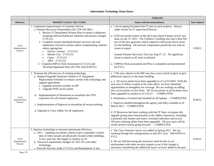# **Information Technology-Dann Hayes**

|                                    |                                                                                                                                                                                                                                                                                                                                                                                                                                                                                                                                                                                                              | <b>TIMELINE</b>                                                                                                                                                                                                                                                                                                                                                                                                                                                                                                                                                                                                                                                                                                                                                                                                                                                                                                                                                                                             |              |
|------------------------------------|--------------------------------------------------------------------------------------------------------------------------------------------------------------------------------------------------------------------------------------------------------------------------------------------------------------------------------------------------------------------------------------------------------------------------------------------------------------------------------------------------------------------------------------------------------------------------------------------------------------|-------------------------------------------------------------------------------------------------------------------------------------------------------------------------------------------------------------------------------------------------------------------------------------------------------------------------------------------------------------------------------------------------------------------------------------------------------------------------------------------------------------------------------------------------------------------------------------------------------------------------------------------------------------------------------------------------------------------------------------------------------------------------------------------------------------------------------------------------------------------------------------------------------------------------------------------------------------------------------------------------------------|--------------|
| <b>Reference</b>                   | PRIORITY GOALS / KEY TASKS                                                                                                                                                                                                                                                                                                                                                                                                                                                                                                                                                                                   | <b>Status (with Recommendations)</b>                                                                                                                                                                                                                                                                                                                                                                                                                                                                                                                                                                                                                                                                                                                                                                                                                                                                                                                                                                        | Date Updated |
| Good<br>Administrative<br>Practice | 1. Continuous improvement of Customer Service.<br>a. Disaster Recovery Preparedness (45 CFR 164.308.)<br>1. Review IT Department Written Plan to ensure it addresses<br>on-going software/hardware solutions and process changes<br>(7/31/21).<br>2. Complete annual simulated disaster recovery test and<br>implement corrective actions and/or compensating controls,<br>where appropriate.<br>Electric Avenue $- (7/31/21)$<br>Marine City $-$ (7/31/21)<br>Capac $- (7/31/21)$<br>$ABA - (7/31/21)$<br>3. Complete HIPAA Risk Assessment (1/31/21) and<br>Develop/Implement Plan (45 CFR 164) (9/30/21). | a. 1 An on-going document that IT uses to track projects. Always<br>under review by IT supervisor/Director.<br>a. 2 Full successful restore of the old Linux based Finance server was<br>done on Jan 15, 2021. The Children's building also had a final full<br>test of the new generator which required a full power down event<br>for the building. All network components passed the test with no<br>issues to report.<br>Annual Disaster Recovery Test was Aug 5 <sup>th</sup> , 21. No significant<br>issues to report as all went as planned.<br>a. 3 HIPAA Risk assessment and Plan is completed and documented<br>for $FY21$ .                                                                                                                                                                                                                                                                                                                                                                      | 9/30/21      |
| Good<br>Administrative<br>Practice | 2. Promote the efficient use of existing technology.<br>a. Replace/Upgrade Hardware related to IT Equipment<br>Replacement Schedule to remain current with technology and<br>support agreements.<br>1. Upgrade network switches in IDF<br>2. Upgrade WIFI access points<br>b. Implementation of Netmotion to streamline the VPN<br>experience for all remote employees.<br>c. Implementation of Papercut to streamline all secure printing.<br>d. Upgrade to Cisco Jabber for all employees.                                                                                                                 | a. 1 The new cabinet in the IDF now has a new switch in place to give<br>additional capacity to the main building.<br>a. 2. All access points have been upgraded as of $12/31/2020$ . With the<br>new area of offices created at the main office, we have identified<br>opportunities to strengthen our coverage. We are working on adding<br>new access points on first floor. All Access points at all locations have<br>been upgraded as needed as of 5/25/21 . - COMPLETED<br>b. Netmotion is licensed and installed on all laptops. - COMPLETED<br>c. Papercut installed throughout the agency and fully available as of<br>March 2021. - COMPLETED<br>d. IT Resources has been working with the IT Dept. to prepare this<br>upgrade giving more functionality to the Jabber experience, including<br>a potential chat feature and easier voicemail indicators and access.<br>All users utilizing jabber have been upgraded. All new users will be<br>on the newest version going forward. - COMPLETED | 9/30/21      |
| Good<br>Administrative<br>Practice | 3. Improve technology to increase operational efficiency.<br>a. $e911 - Up dating$ our phone system to give responders a better<br>idea of where people are physically located within buildings.<br>A new state law that begins in January of 20.<br>b. Password requirement changes for ALL PCs and other<br>technology.<br>c. Network Security Audit (7/31/21) and Remediation of any                                                                                                                                                                                                                      | a. The Cisco Presence server was added in Spring 2021. We are<br>working through the configurations to add e911 next. ONGOING to<br><b>FY22</b><br>b. We are still discussing the necessary need for this in our<br>environment with other security experts to see if this change is<br>necessary considering the additional layers we have added in the past                                                                                                                                                                                                                                                                                                                                                                                                                                                                                                                                                                                                                                               | 9/30/21      |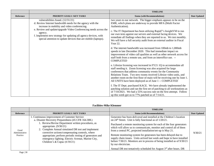|                  |                                                                                                                                                                                                                  | <b>TIMELINE</b>                                                                                                                                                                                                                                                                                                                                                                                            |                     |
|------------------|------------------------------------------------------------------------------------------------------------------------------------------------------------------------------------------------------------------|------------------------------------------------------------------------------------------------------------------------------------------------------------------------------------------------------------------------------------------------------------------------------------------------------------------------------------------------------------------------------------------------------------|---------------------|
| <b>Reference</b> | PRIORITY GOALS / KEY TASKS                                                                                                                                                                                       | <b>Status (with Recommendations)</b>                                                                                                                                                                                                                                                                                                                                                                       | <b>Date Updated</b> |
|                  | vulnerabilities found. (12/31/21)<br>d. Review Internet bandwidth needs for the agency with the<br>increase in mobility and video conferencing.                                                                  | two years to our network. The bigger emphasis appears to be on the<br>EMR, which plans are underway to provide MFA (Multi Factor<br>Authentication).                                                                                                                                                                                                                                                       |                     |
|                  | e. Review and update/upgrade Video Conferencing needs across the<br>agency.<br>f. Implement new strategy for updating all agency devices, with<br>special attention to update devices that are mobile (laptops). | c. The IT Department has been utilizing Rapid7's InsightVM to run<br>our own tests against our servers and external facing devices. We<br>remediate all findings when they are reported to us. We test monthly.<br>We will have a full security audit from an external auditor in Fiscal<br>Year 22.                                                                                                       |                     |
|                  |                                                                                                                                                                                                                  | d. The internet bandwidth was increased from 100mb to 1,000mb<br>speeds in late December 2020. This had immediate impact on<br>improvement of video call qualities as well as other network access for<br>staff both from a remote use, and from an interoffice use. --<br><b>COMPLETED</b>                                                                                                                |                     |
|                  |                                                                                                                                                                                                                  | e. Lifesize licensing was increased in FY21 1Q to accommodate all<br>staff needing it. Zoom licensing was also acquired for large<br>conferences that address community events for the Community<br>Relations Team. Two new rooms received Lifesize video units, and<br>another room on the first floor of main will be receiving one by June 1.<br>All UNITS have been deployed as of June 1 -- COMPLETED |                     |
|                  |                                                                                                                                                                                                                  | f. The IT Dept. purchased KACE. We have already implemented the<br>patching solution and ran the first set of patching to all workstations as<br>of 7/10/2021. We had a 55% success rate on the first attempt. Follow<br>up this week got us to 77% patched as of $7/14/21$ .                                                                                                                              |                     |

#### **Facilities-Mike Klemmer**

|                                    |                                                                                                                                                                                                                                                                                                                                                                                                                                                   | <b>TIMELINE</b>                                                                                                                                                                                                                                                                                                                                                                                                                                                                                                                                                                                                                                                               |              |
|------------------------------------|---------------------------------------------------------------------------------------------------------------------------------------------------------------------------------------------------------------------------------------------------------------------------------------------------------------------------------------------------------------------------------------------------------------------------------------------------|-------------------------------------------------------------------------------------------------------------------------------------------------------------------------------------------------------------------------------------------------------------------------------------------------------------------------------------------------------------------------------------------------------------------------------------------------------------------------------------------------------------------------------------------------------------------------------------------------------------------------------------------------------------------------------|--------------|
| <b>Reference</b>                   | <b>PRIORITY GOALS / KEY TASKS</b>                                                                                                                                                                                                                                                                                                                                                                                                                 | <b>Status (with Recommendations)</b>                                                                                                                                                                                                                                                                                                                                                                                                                                                                                                                                                                                                                                          | Date Updated |
| Good<br>Administrative<br>Practice | 1. Continuous improvement of Customer Service<br>a. Disaster Recovery Preparedness (45 CFR 164.308.)<br>1. Review/Revise Department written procedures, as<br>appropriate. $(9/30/21)$<br>2. Complete Annual simulated DR test and implement<br>corrective actions/compensating controls, where<br>appropriate; perform periodic testing of generators and<br>emergency lighting. Electric Avenue, Marine City,<br>Children's & Capac $(6/30/21)$ | Generator has been delivered and installed at the Children's location<br>on $24th$ Street. Unit is fully functional as of $1/20/21$ .<br>Purchased a remote monitoring system for each of the four generators<br>which will allow us to communicate, monitor and control all of them<br>from a central PC, projected installation/set-up is May 21.<br>Remote monitoring system for generators has been delayed due to<br>supply chain issues. Units arrived last week and hope to have installed<br>before 7/30/21. Monitors are in process of being installed as of 9/30/21<br>by our electrician.<br>Annual DR test tentatively scheduled for August $3rd$ after hours. DR | 9/30/21      |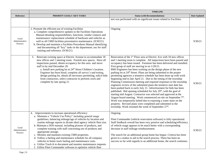|                                    |                                                                                                                                                                                                                                                                                                                                                                                                                                                                                                                                                                                                                                                                                                                                          | <b>TIMELINE</b>                                                                                                                                                                                                                                                                                                                                                                                                                                                                                                                                                                                                                                                                                                                                                                                                                                                                                                                                                                                                                                                                                                                                                                                                                                   |              |
|------------------------------------|------------------------------------------------------------------------------------------------------------------------------------------------------------------------------------------------------------------------------------------------------------------------------------------------------------------------------------------------------------------------------------------------------------------------------------------------------------------------------------------------------------------------------------------------------------------------------------------------------------------------------------------------------------------------------------------------------------------------------------------|---------------------------------------------------------------------------------------------------------------------------------------------------------------------------------------------------------------------------------------------------------------------------------------------------------------------------------------------------------------------------------------------------------------------------------------------------------------------------------------------------------------------------------------------------------------------------------------------------------------------------------------------------------------------------------------------------------------------------------------------------------------------------------------------------------------------------------------------------------------------------------------------------------------------------------------------------------------------------------------------------------------------------------------------------------------------------------------------------------------------------------------------------------------------------------------------------------------------------------------------------|--------------|
| <b>Reference</b>                   | PRIORITY GOALS / KEY TASKS                                                                                                                                                                                                                                                                                                                                                                                                                                                                                                                                                                                                                                                                                                               | <b>Status (with Recommendations)</b>                                                                                                                                                                                                                                                                                                                                                                                                                                                                                                                                                                                                                                                                                                                                                                                                                                                                                                                                                                                                                                                                                                                                                                                                              | Date Updated |
|                                    |                                                                                                                                                                                                                                                                                                                                                                                                                                                                                                                                                                                                                                                                                                                                          | test was performed with no significant issues related to Facilities.                                                                                                                                                                                                                                                                                                                                                                                                                                                                                                                                                                                                                                                                                                                                                                                                                                                                                                                                                                                                                                                                                                                                                                              |              |
| Good<br>Administrative<br>Practice | 2. Promote the efficient use of existing Facilities<br>a. Complete comprehensive updates to the Facilities Operations<br>Manual detailing responsibilities, functions, vendor contacts and<br>maintenance/replacement schedule of hardware and vehicles as<br>well as all CMH facilities preventative maintenance. (9/30/21)<br>b. Develop and maintain a Facilities Procedures Manual identifying<br>and documenting all "key" tasks in the department; use for staff<br>training and reference. (9/30/21)                                                                                                                                                                                                                              | Ongoing                                                                                                                                                                                                                                                                                                                                                                                                                                                                                                                                                                                                                                                                                                                                                                                                                                                                                                                                                                                                                                                                                                                                                                                                                                           | 9/30/21      |
|                                    | Renovate existing space at Electric Avenue to accommodate 18<br>3.<br>new offices and 1 meeting room. Furnish new spaces. Have all<br>inspections passed, obtain occupancy for this area and move<br>staff in by mid December 20.<br>a. Install new parking lot at 24 <sup>th</sup> Street Children's location.<br>Engineer has been hired, complete all survey's and testing,<br>design parking lot, obtain all necessary permitting, solicit bids<br>from contractors, select contractor to perform work and<br>complete by late spring 21.                                                                                                                                                                                            | Renovation of the 1 <sup>st</sup> Floor area at Electric Ave with 18 new offices<br>and 1 meeting room is complete. All inspections have been passed and<br>occupancy has been issued. Furniture has been delivered and installed.<br>First group of staff are moving in on 1/20/21.<br>BMJ Engineers has been working on the design phase of the new<br>parking lot at 24 <sup>th</sup> Street. Plans are being submitted to the proper<br>permitting agencies a tentative schedule has been done up with work<br>beginning mid to late April 21. Due to the timing of the township<br>Planning Commission meeting and required responses to the township<br>engineers review of the submitted plans the tentative start date has<br>been pushed back to early July 21. Advertisement for bids has been<br>published. Bid opening scheduled for July 29 <sup>th</sup> , with the goal of<br>starting mid August. Contractor was selected and approved at the<br>August board meeting. Work commenced on-site on September 7 <sup>th</sup> .<br>Work was temporarily halted due to exposing a water main on the<br>property. Revised plans were completed and submitted to the<br>township. Work resumed the week of September 27 <sup>th</sup> . | 9/30/21      |
| Good<br>Administrative<br>Practice | Improvements to increase operational efficiency<br>4.<br>a. Maintain a "Vehicle Use Policy" including general usage<br>guidelines, balancing mileage/age of vehicles by location and<br>routine mileage reports to dictate ideal agency vehicle fleet size.<br>b. Maintain a SDS manual, including pictures of products, and<br>complete training with staff concerning use of products and<br>appropriate storage.<br>c. Monitor and maintain existing CMH properties.<br>d. Follow a fueling and maintenance schedule for all company<br>vehicles to better track fueling and maintenance costs.<br>e. Utilize Track-It to document and monitor maintenance requests.<br>f. Utilize Fleet Commander software to optimize vehicle fleet | Ongoing.<br>Fleet Commander (vehicle reservation software) is fully operational.<br>Staff feedback overall has been very positive and scheduling/efficiency<br>of vehicle usage appears to be much better with a corresponding<br>decrease in staff mileage reimbursement.<br>The search for an additional group home has begun. Criteria has been<br>given to a realtor to aid in the search process. There has been no<br>success so far with regards to an additional home, the search continues.                                                                                                                                                                                                                                                                                                                                                                                                                                                                                                                                                                                                                                                                                                                                              | 9/30/21      |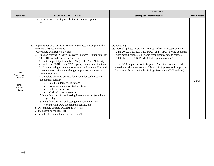|                                                                         |                                                                                                                                                                                                                                                                                                                                                                                                                                                                                                                                                                                                                                                                                                                                                                                                                                                                                                                                                                                                                                                                                | <b>TIMELINE</b>                                                                                                                                                                                                                                                                                                                                                                                                                                                         |                     |
|-------------------------------------------------------------------------|--------------------------------------------------------------------------------------------------------------------------------------------------------------------------------------------------------------------------------------------------------------------------------------------------------------------------------------------------------------------------------------------------------------------------------------------------------------------------------------------------------------------------------------------------------------------------------------------------------------------------------------------------------------------------------------------------------------------------------------------------------------------------------------------------------------------------------------------------------------------------------------------------------------------------------------------------------------------------------------------------------------------------------------------------------------------------------|-------------------------------------------------------------------------------------------------------------------------------------------------------------------------------------------------------------------------------------------------------------------------------------------------------------------------------------------------------------------------------------------------------------------------------------------------------------------------|---------------------|
| <b>Reference</b>                                                        | PRIORITY GOALS / KEY TASKS                                                                                                                                                                                                                                                                                                                                                                                                                                                                                                                                                                                                                                                                                                                                                                                                                                                                                                                                                                                                                                                     | <b>Status (with Recommendations)</b>                                                                                                                                                                                                                                                                                                                                                                                                                                    | <b>Date Updated</b> |
|                                                                         | efficiency, use reporting capabilities to analyze optimal fleet<br>size.                                                                                                                                                                                                                                                                                                                                                                                                                                                                                                                                                                                                                                                                                                                                                                                                                                                                                                                                                                                                       |                                                                                                                                                                                                                                                                                                                                                                                                                                                                         |                     |
| Good<br>Administrative<br>Practice<br><b>CARF</b><br>Health &<br>Safety | Implementation of Disaster Recovery/Business Resumption Plan<br>5.<br>meeting CMS requirements.<br>*coordinate with Region 2 North<br>a. Build on existing Disaster Recovery/Business Resumption Plan<br>(DR/BRP) with the following activities:<br>1. Continue participation in MiHAN (Health Alert Network)<br>2. Implement CMH closed WINS group for staff notifications.<br>3. Update existing document to include the Pandemic Plan and<br>also update to reflect any changes in process, advances in<br>technology, etc.<br>4. Complete planning process documents for each program.<br>Documents identify:<br>Possible alternative locations<br>Prioritization of essential functions<br>Order of succession<br>Vital information/records<br>5. Identify process for addressing internal disaster (small and<br>large scale)<br>6. Identify process for addressing community disaster<br>(working with EOC, Homeland Security, etc.)<br>b. Disseminate updated DR/BRP to key staff<br>c. Train staff on the DR/BRP<br>d. Periodically conduct tabletop exercises/drills | a.1. Ongoing<br>a.3. Formal updates to COVID-19 Preparedness & Response Plan<br>June 20, 7/31/20, 12/11/20, 3/5/21, and 6/11/21. Living document<br>with periodic updates. Periodic email updates sent to staff as<br>CDC, MDHHS, OSHA/MIOSHA regulations change.<br>b. COVID-19 Preparedness & Response Plan binders created and<br>shared with all supervisory staff March 21 (updates and supporting<br>documents always available via Sage People and CMH website). | 9/30/21             |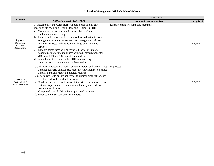## **Utilization Management-Michelle Measel-Morris**

|                                                    |                                                                                                                                                                                                                                                                                                                                                                                                                                                                                                                                                                                                                                                                                                                      | <b>TIMELINE</b>                         |              |
|----------------------------------------------------|----------------------------------------------------------------------------------------------------------------------------------------------------------------------------------------------------------------------------------------------------------------------------------------------------------------------------------------------------------------------------------------------------------------------------------------------------------------------------------------------------------------------------------------------------------------------------------------------------------------------------------------------------------------------------------------------------------------------|-----------------------------------------|--------------|
| Reference                                          | PRIORITY GOALS / KEY TASKS                                                                                                                                                                                                                                                                                                                                                                                                                                                                                                                                                                                                                                                                                           | <b>Status (with Recommendations)</b>    | Date Updated |
| Region 10<br>Delegation<br>Contract<br>Requirement | 1. Integrated Health Care: Staff will participate in joint care<br>meeting with Medicaid Health Plans and Region 10 PIHP.<br>a. Monitor and report on Care Connect 360 program<br>implementation and usage.<br>b. Random select cases will be reviewed for reduction in non-<br>emergent emergency department use, linkage with primary<br>health care access and applicable linkage with Veterans'<br>services.<br>Random select cases will be reviewed for follow up after<br>$\mathbf{c}$ .<br>hospitalization for mental illness within 30 days (Standards:<br>70% ages 6-20 and 58% ages 21 and older).<br>d. Annual narrative is due to the PIHP summarizing<br>improvements in joint care activities/metrics. | Efforts continue w/joint care meetings. | 9/30/21      |
| Good Clinical<br>Practice/CARF<br>Recommendation   | 2. Utilization Review: For both Contract Provider and Direct Care:<br>Conduct quarterly clinical case record review analyses on select<br>General Fund and Medicaid medical records.<br>a. Clinical review to ensure adherence to clinical protocol for cost<br>effective and well coordinate services.<br>b. Conduct claims verification associated with clinical case record<br>reviews. Report claims discrepancies. Identify and address<br>over/under-utilization.<br>c. Completed special UM reviews upon need or request.<br>d. Produce and distribute quarterly reports.                                                                                                                                     | In process                              | 9/30/21      |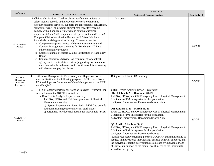|                                                    | <b>PRIORITY GOALS / KEY TASKS</b>                                                                                                                                                                                                                                                                                                                                                                                                                                                                                                                                                                                                                                                                                                                                                                                                                                                                                                                                                                            | <b>TIMELINE</b>                                                                                                                                                                                                                                                                                                                                                                                                                                                                                                                                                                                                                                                                                                                                                                                                                                                                                                                                                                            |              |
|----------------------------------------------------|--------------------------------------------------------------------------------------------------------------------------------------------------------------------------------------------------------------------------------------------------------------------------------------------------------------------------------------------------------------------------------------------------------------------------------------------------------------------------------------------------------------------------------------------------------------------------------------------------------------------------------------------------------------------------------------------------------------------------------------------------------------------------------------------------------------------------------------------------------------------------------------------------------------------------------------------------------------------------------------------------------------|--------------------------------------------------------------------------------------------------------------------------------------------------------------------------------------------------------------------------------------------------------------------------------------------------------------------------------------------------------------------------------------------------------------------------------------------------------------------------------------------------------------------------------------------------------------------------------------------------------------------------------------------------------------------------------------------------------------------------------------------------------------------------------------------------------------------------------------------------------------------------------------------------------------------------------------------------------------------------------------------|--------------|
| <b>Reference</b>                                   |                                                                                                                                                                                                                                                                                                                                                                                                                                                                                                                                                                                                                                                                                                                                                                                                                                                                                                                                                                                                              | <b>Status (with Recommendations)</b>                                                                                                                                                                                                                                                                                                                                                                                                                                                                                                                                                                                                                                                                                                                                                                                                                                                                                                                                                       | Date Updated |
| <b>Good Business</b><br>Practice                   | 3. Claims Verification: Conduct claims verification reviews on<br>select medical records in the Provider Network to determine<br>whether customer services / supports are appropriately delivered by<br>all providers (i.e., all program clinical case records/recording<br>comply with all applicable internal and external customer<br>requirements) at a 95% compliance rate (no more than 5% errors).<br>Complete Claims Verification Reviews of 2.5% of Medicaid<br>individuals receiving services through Contract Agencies<br>a. Complete non-primary case holder review concurrent with<br>Contract Management site visits for Residential, CLS and<br>other community providers.<br>Complete annual Medicaid Claims Verification Methodology<br>b.<br>Report.<br>c. Implement Service Activity Log requirement for contract<br>agency staff – tie to claims review (supporting documentation<br>must be available in the electronic health record for a warning<br>will show to not pay the claim). | In process                                                                                                                                                                                                                                                                                                                                                                                                                                                                                                                                                                                                                                                                                                                                                                                                                                                                                                                                                                                 | 9/30/21      |
| Region 10<br>Delegation<br>Contract<br>Requirement | Utilization Management / Trend Analyses: Report on over /<br>4.<br>under-utilization of the following programs: ACT, Home Based,<br>ABA and Supports Coordination/ Case Management to the PIHP<br>monthly QMC.                                                                                                                                                                                                                                                                                                                                                                                                                                                                                                                                                                                                                                                                                                                                                                                               | Being revised due to UM redesign.                                                                                                                                                                                                                                                                                                                                                                                                                                                                                                                                                                                                                                                                                                                                                                                                                                                                                                                                                          | 9/30/21      |
| <b>Good Clinical</b><br>Practice                   | <b>BTPRC:</b> Conduct quarterly oversight of Behavior Treatment Plan<br>5.<br>Review Committee (BTPRC) activities.<br>a. Risk Events Analysis Report - quarterly<br>1.) HSW, SEDW and CW Emergency use of Physical<br>Management tracking<br>b). System Improvements identified at BTPRC to provide<br>additional training opportunities for staff and/or<br>opportunities to reduce risk factors for individuals served.                                                                                                                                                                                                                                                                                                                                                                                                                                                                                                                                                                                    | a. Risk Events Analysis Report - Quarterly<br>Q1: October 1, 20 - December 31, 20<br>1.) HSW, SEDW, and CW Emergency Use of Physical Management:<br>0 Incidents of PM this quarter for this population<br>b.) System Improvement Recommendations: None<br>Q2: January 1, 21 – March 31, 21<br>1.) HSW, SEDW, and CW Emergency Use of Physical Management:<br>0 Incidents of PM this quarter for this population<br>b.) System Improvement Recommendations: None<br>Q3: April 1, 21 – June 30, 21<br>1.) HSW, SEDW, and CW Emergency Use of Physical Management:<br>0 Incidents of PM this quarter for this population.<br>b.) System Improvement Recommendations:<br>- Employees receive training, per the SCCCMHA training grid and as<br>needed, in motivational interviewing, positive behavior supports, and<br>the individual-specific interventions established by Individual Plans<br>of Services in support of the mental health needs of the individuals<br>served by our agency. | 9/30/21      |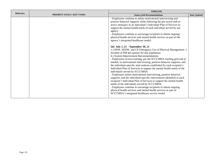| Reference |                            | <b>TIMELINE</b>                                                                                                                                                                                                                                                                                                                                                                                                                                                                                                                                                                                                                                                                                                                                                                                                                                                                                                                                                                                                                                                                                                                                                                                                                                                                                                                                                                                                                                                             |              |
|-----------|----------------------------|-----------------------------------------------------------------------------------------------------------------------------------------------------------------------------------------------------------------------------------------------------------------------------------------------------------------------------------------------------------------------------------------------------------------------------------------------------------------------------------------------------------------------------------------------------------------------------------------------------------------------------------------------------------------------------------------------------------------------------------------------------------------------------------------------------------------------------------------------------------------------------------------------------------------------------------------------------------------------------------------------------------------------------------------------------------------------------------------------------------------------------------------------------------------------------------------------------------------------------------------------------------------------------------------------------------------------------------------------------------------------------------------------------------------------------------------------------------------------------|--------------|
|           | PRIORITY GOALS / KEY TASKS | <b>Status (with Recommendations)</b>                                                                                                                                                                                                                                                                                                                                                                                                                                                                                                                                                                                                                                                                                                                                                                                                                                                                                                                                                                                                                                                                                                                                                                                                                                                                                                                                                                                                                                        | Date Updated |
|           |                            | - Employees continue to utilize motivational interviewing and<br>positive behavior supports while following the pro-active and re-<br>active strategies in an individual's Individual Plan of Services to<br>support the mental health needs of each individual served by our<br>agency.<br>- Employees continue to encourage recipients to obtain ongoing<br>physical health services and mental health services as part of the<br>agency's integrated healthcare model.<br>Q4: July 1, 21 – September 30, 21<br>1.) HSW, SEDW, and CE Emergency Use of Physical Management: 1<br>Incident of PM this quarter for this population<br>b.) System Improvement Recommendations:<br>- Employees receive training, per the SCCCMHA training grid and as<br>needed, in motivational interviewing, positive behavior supports, and<br>the individual-specific interventions established by each recipient's<br>Individual Plan of Services to support the mental health needs of the<br>individuals served by SCCCMHA.<br>- Employees utilize motivational interviewing, positive behavior<br>supports, and the individual-specific interventions identified in each<br>recipient's Individual Plan of Services to support the mental health<br>needs of the individuals served by SCCCMHA.<br>- Employees continue to encourage recipients to obtain ongoing<br>physical health services and mental health services as part of<br>SCCCMHA's integrated healthcare service model. |              |